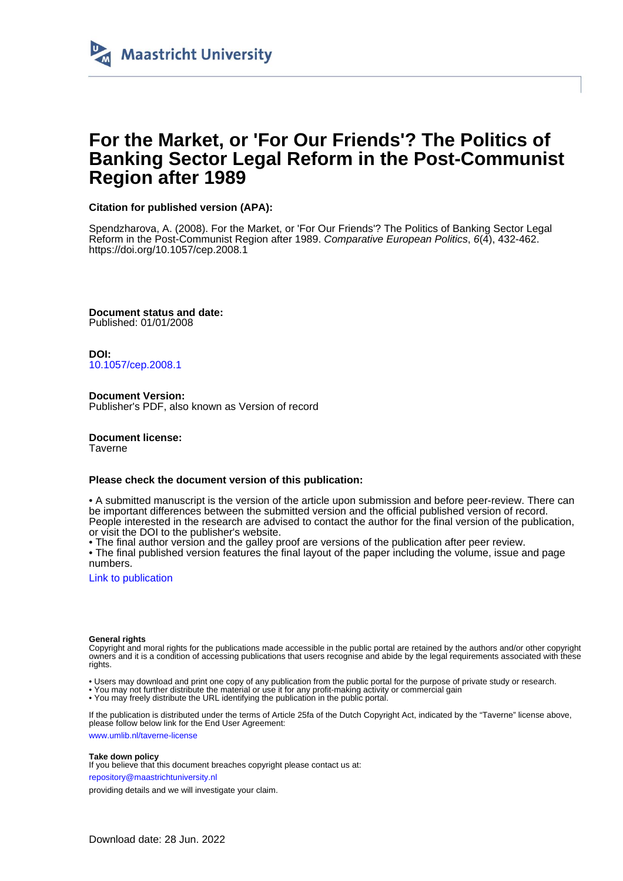

# **For the Market, or 'For Our Friends'? The Politics of Banking Sector Legal Reform in the Post-Communist Region after 1989**

### **Citation for published version (APA):**

Spendzharova, A. (2008). For the Market, or 'For Our Friends'? The Politics of Banking Sector Legal Reform in the Post-Communist Region after 1989. Comparative European Politics, 6(4), 432-462. <https://doi.org/10.1057/cep.2008.1>

**Document status and date:** Published: 01/01/2008

**DOI:** [10.1057/cep.2008.1](https://doi.org/10.1057/cep.2008.1)

**Document Version:** Publisher's PDF, also known as Version of record

**Document license:** Taverne

### **Please check the document version of this publication:**

• A submitted manuscript is the version of the article upon submission and before peer-review. There can be important differences between the submitted version and the official published version of record. People interested in the research are advised to contact the author for the final version of the publication, or visit the DOI to the publisher's website.

• The final author version and the galley proof are versions of the publication after peer review.

• The final published version features the final layout of the paper including the volume, issue and page numbers.

[Link to publication](https://cris.maastrichtuniversity.nl/en/publications/1e72732c-65ad-4aab-b61a-212cc48dfbb2)

### **General rights**

Copyright and moral rights for the publications made accessible in the public portal are retained by the authors and/or other copyright owners and it is a condition of accessing publications that users recognise and abide by the legal requirements associated with these rights.

• Users may download and print one copy of any publication from the public portal for the purpose of private study or research.

• You may not further distribute the material or use it for any profit-making activity or commercial gain

• You may freely distribute the URL identifying the publication in the public portal.

If the publication is distributed under the terms of Article 25fa of the Dutch Copyright Act, indicated by the "Taverne" license above, please follow below link for the End User Agreement:

www.umlib.nl/taverne-license

### **Take down policy**

If you believe that this document breaches copyright please contact us at:

repository@maastrichtuniversity.nl

providing details and we will investigate your claim.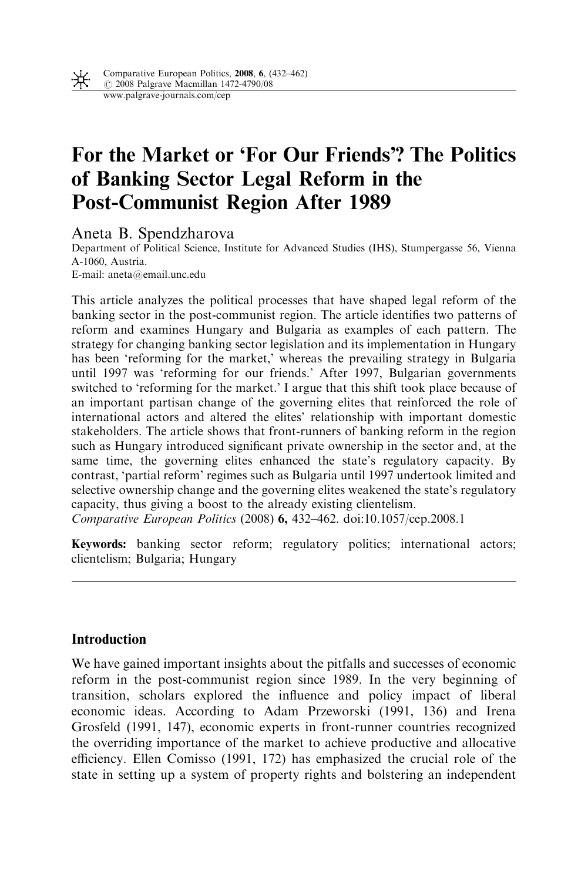

# For the Market or 'For Our Friends'? The Politics of Banking Sector Legal Reform in the Post-Communist Region After 1989

Aneta B. Spendzharova

Department of Political Science, Institute for Advanced Studies (IHS), Stumpergasse 56, Vienna A-1060, Austria.

E-mail: aneta@email.unc.edu

This article analyzes the political processes that have shaped legal reform of the banking sector in the post-communist region. The article identifies two patterns of reform and examines Hungary and Bulgaria as examples of each pattern. The strategy for changing banking sector legislation and its implementation in Hungary has been 'reforming for the market,' whereas the prevailing strategy in Bulgaria until 1997 was 'reforming for our friends.' After 1997, Bulgarian governments switched to 'reforming for the market.' I argue that this shift took place because of an important partisan change of the governing elites that reinforced the role of international actors and altered the elites' relationship with important domestic stakeholders. The article shows that front-runners of banking reform in the region such as Hungary introduced significant private ownership in the sector and, at the same time, the governing elites enhanced the state's regulatory capacity. By contrast, 'partial reform' regimes such as Bulgaria until 1997 undertook limited and selective ownership change and the governing elites weakened the state's regulatory capacity, thus giving a boost to the already existing clientelism. Comparative European Politics (2008) 6, 432–462. doi:10.1057/cep.2008.1

Keywords: banking sector reform; regulatory politics; international actors; clientelism; Bulgaria; Hungary

### **Introduction**

We have gained important insights about the pitfalls and successes of economic reform in the post-communist region since 1989. In the very beginning of transition, scholars explored the influence and policy impact of liberal economic ideas. According to Adam Przeworski (1991, 136) and Irena Grosfeld (1991, 147), economic experts in front-runner countries recognized the overriding importance of the market to achieve productive and allocative efficiency. Ellen Comisso (1991, 172) has emphasized the crucial role of the state in setting up a system of property rights and bolstering an independent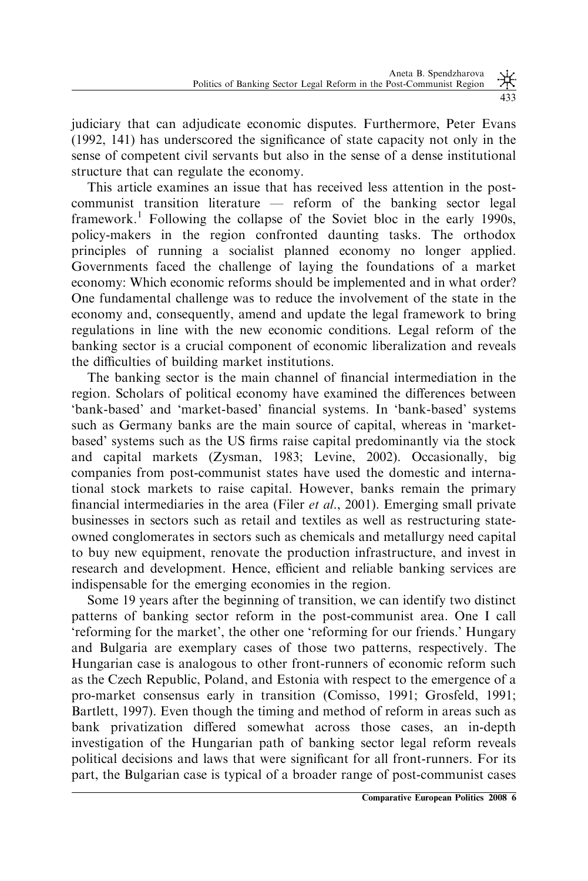judiciary that can adjudicate economic disputes. Furthermore, Peter Evans (1992, 141) has underscored the significance of state capacity not only in the sense of competent civil servants but also in the sense of a dense institutional structure that can regulate the economy.

This article examines an issue that has received less attention in the postcommunist transition literature — reform of the banking sector legal framework.<sup>1</sup> Following the collapse of the Soviet bloc in the early 1990s, policy-makers in the region confronted daunting tasks. The orthodox principles of running a socialist planned economy no longer applied. Governments faced the challenge of laying the foundations of a market economy: Which economic reforms should be implemented and in what order? One fundamental challenge was to reduce the involvement of the state in the economy and, consequently, amend and update the legal framework to bring regulations in line with the new economic conditions. Legal reform of the banking sector is a crucial component of economic liberalization and reveals the difficulties of building market institutions.

The banking sector is the main channel of financial intermediation in the region. Scholars of political economy have examined the differences between 'bank-based' and 'market-based' financial systems. In 'bank-based' systems such as Germany banks are the main source of capital, whereas in 'marketbased' systems such as the US firms raise capital predominantly via the stock and capital markets (Zysman, 1983; Levine, 2002). Occasionally, big companies from post-communist states have used the domestic and international stock markets to raise capital. However, banks remain the primary financial intermediaries in the area (Filer *et al.*, 2001). Emerging small private businesses in sectors such as retail and textiles as well as restructuring stateowned conglomerates in sectors such as chemicals and metallurgy need capital to buy new equipment, renovate the production infrastructure, and invest in research and development. Hence, efficient and reliable banking services are indispensable for the emerging economies in the region.

Some 19 years after the beginning of transition, we can identify two distinct patterns of banking sector reform in the post-communist area. One I call 'reforming for the market', the other one 'reforming for our friends.' Hungary and Bulgaria are exemplary cases of those two patterns, respectively. The Hungarian case is analogous to other front-runners of economic reform such as the Czech Republic, Poland, and Estonia with respect to the emergence of a pro-market consensus early in transition (Comisso, 1991; Grosfeld, 1991; Bartlett, 1997). Even though the timing and method of reform in areas such as bank privatization differed somewhat across those cases, an in-depth investigation of the Hungarian path of banking sector legal reform reveals political decisions and laws that were significant for all front-runners. For its part, the Bulgarian case is typical of a broader range of post-communist cases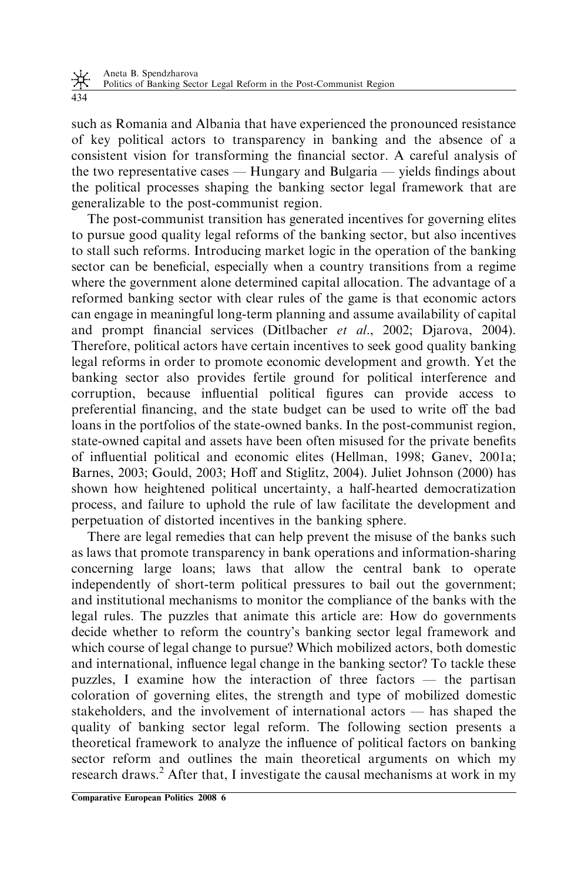such as Romania and Albania that have experienced the pronounced resistance of key political actors to transparency in banking and the absence of a consistent vision for transforming the financial sector. A careful analysis of the two representative cases — Hungary and Bulgaria — yields findings about the political processes shaping the banking sector legal framework that are generalizable to the post-communist region.

The post-communist transition has generated incentives for governing elites to pursue good quality legal reforms of the banking sector, but also incentives to stall such reforms. Introducing market logic in the operation of the banking sector can be beneficial, especially when a country transitions from a regime where the government alone determined capital allocation. The advantage of a reformed banking sector with clear rules of the game is that economic actors can engage in meaningful long-term planning and assume availability of capital and prompt financial services (Ditlbacher et al., 2002; Djarova, 2004). Therefore, political actors have certain incentives to seek good quality banking legal reforms in order to promote economic development and growth. Yet the banking sector also provides fertile ground for political interference and corruption, because influential political figures can provide access to preferential financing, and the state budget can be used to write off the bad loans in the portfolios of the state-owned banks. In the post-communist region, state-owned capital and assets have been often misused for the private benefits of influential political and economic elites (Hellman, 1998; Ganev, 2001a; Barnes, 2003; Gould, 2003; Hoff and Stiglitz, 2004). Juliet Johnson (2000) has shown how heightened political uncertainty, a half-hearted democratization process, and failure to uphold the rule of law facilitate the development and perpetuation of distorted incentives in the banking sphere.

There are legal remedies that can help prevent the misuse of the banks such as laws that promote transparency in bank operations and information-sharing concerning large loans; laws that allow the central bank to operate independently of short-term political pressures to bail out the government; and institutional mechanisms to monitor the compliance of the banks with the legal rules. The puzzles that animate this article are: How do governments decide whether to reform the country's banking sector legal framework and which course of legal change to pursue? Which mobilized actors, both domestic and international, influence legal change in the banking sector? To tackle these puzzles, I examine how the interaction of three factors — the partisan coloration of governing elites, the strength and type of mobilized domestic stakeholders, and the involvement of international actors — has shaped the quality of banking sector legal reform. The following section presents a theoretical framework to analyze the influence of political factors on banking sector reform and outlines the main theoretical arguments on which my research draws.<sup>2</sup> After that, I investigate the causal mechanisms at work in my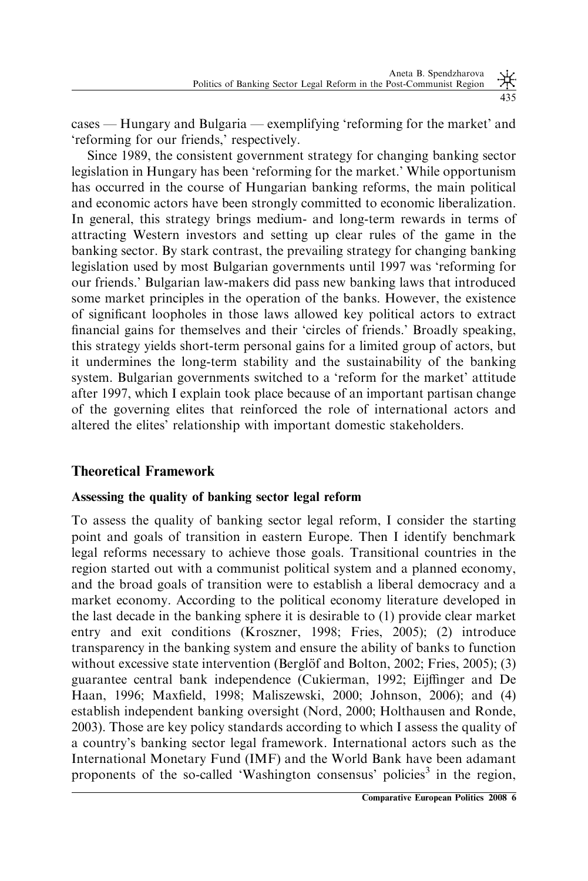cases — Hungary and Bulgaria — exemplifying 'reforming for the market' and 'reforming for our friends,' respectively.

Since 1989, the consistent government strategy for changing banking sector legislation in Hungary has been 'reforming for the market.' While opportunism has occurred in the course of Hungarian banking reforms, the main political and economic actors have been strongly committed to economic liberalization. In general, this strategy brings medium- and long-term rewards in terms of attracting Western investors and setting up clear rules of the game in the banking sector. By stark contrast, the prevailing strategy for changing banking legislation used by most Bulgarian governments until 1997 was 'reforming for our friends.' Bulgarian law-makers did pass new banking laws that introduced some market principles in the operation of the banks. However, the existence of significant loopholes in those laws allowed key political actors to extract financial gains for themselves and their 'circles of friends.' Broadly speaking, this strategy yields short-term personal gains for a limited group of actors, but it undermines the long-term stability and the sustainability of the banking system. Bulgarian governments switched to a 'reform for the market' attitude after 1997, which I explain took place because of an important partisan change of the governing elites that reinforced the role of international actors and altered the elites' relationship with important domestic stakeholders.

# Theoretical Framework

# Assessing the quality of banking sector legal reform

To assess the quality of banking sector legal reform, I consider the starting point and goals of transition in eastern Europe. Then I identify benchmark legal reforms necessary to achieve those goals. Transitional countries in the region started out with a communist political system and a planned economy, and the broad goals of transition were to establish a liberal democracy and a market economy. According to the political economy literature developed in the last decade in the banking sphere it is desirable to (1) provide clear market entry and exit conditions (Kroszner, 1998; Fries, 2005); (2) introduce transparency in the banking system and ensure the ability of banks to function without excessive state intervention (Berglöf and Bolton, 2002; Fries, 2005); (3) guarantee central bank independence (Cukierman, 1992; Eijffinger and De Haan, 1996; Maxfield, 1998; Maliszewski, 2000; Johnson, 2006); and (4) establish independent banking oversight (Nord, 2000; Holthausen and Ronde, 2003). Those are key policy standards according to which I assess the quality of a country's banking sector legal framework. International actors such as the International Monetary Fund (IMF) and the World Bank have been adamant proponents of the so-called 'Washington consensus' policies<sup>3</sup> in the region,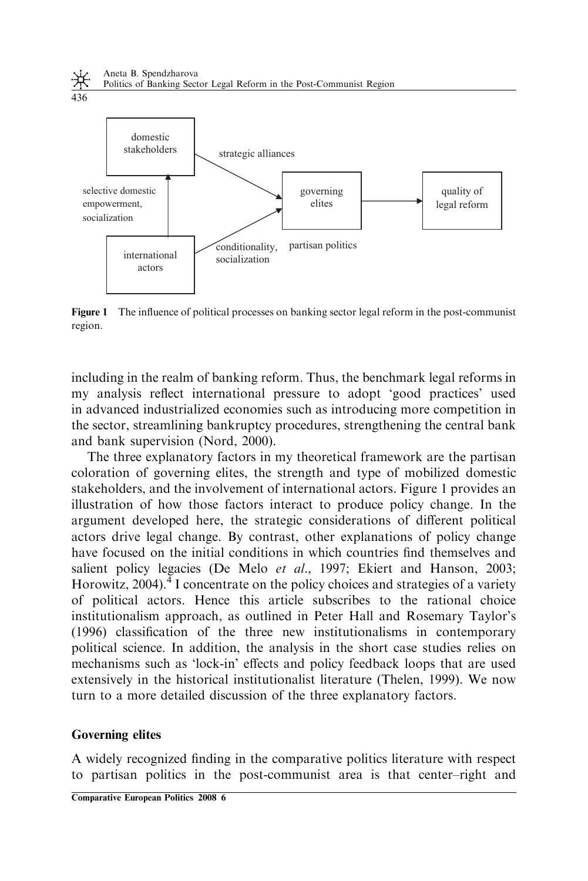

Figure 1 The influence of political processes on banking sector legal reform in the post-communist region.

including in the realm of banking reform. Thus, the benchmark legal reforms in my analysis reflect international pressure to adopt 'good practices' used in advanced industrialized economies such as introducing more competition in the sector, streamlining bankruptcy procedures, strengthening the central bank and bank supervision (Nord, 2000).

The three explanatory factors in my theoretical framework are the partisan coloration of governing elites, the strength and type of mobilized domestic stakeholders, and the involvement of international actors. Figure 1 provides an illustration of how those factors interact to produce policy change. In the argument developed here, the strategic considerations of different political actors drive legal change. By contrast, other explanations of policy change have focused on the initial conditions in which countries find themselves and salient policy legacies (De Melo et al., 1997; Ekiert and Hanson, 2003; Horowitz,  $2004$ <sup>4</sup>. I concentrate on the policy choices and strategies of a variety of political actors. Hence this article subscribes to the rational choice institutionalism approach, as outlined in Peter Hall and Rosemary Taylor's (1996) classification of the three new institutionalisms in contemporary political science. In addition, the analysis in the short case studies relies on mechanisms such as 'lock-in' effects and policy feedback loops that are used extensively in the historical institutionalist literature (Thelen, 1999). We now turn to a more detailed discussion of the three explanatory factors.

### Governing elites

A widely recognized finding in the comparative politics literature with respect to partisan politics in the post-communist area is that center–right and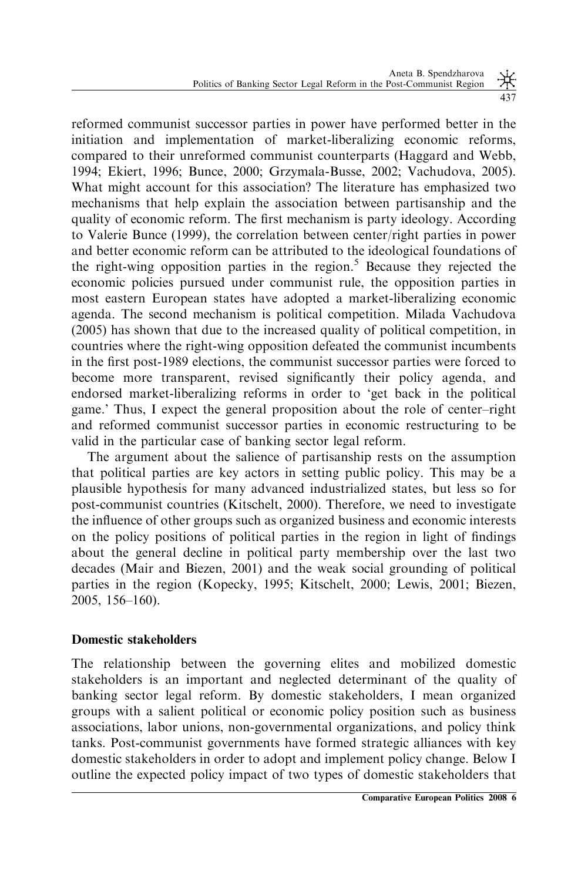reformed communist successor parties in power have performed better in the initiation and implementation of market-liberalizing economic reforms, compared to their unreformed communist counterparts (Haggard and Webb, 1994; Ekiert, 1996; Bunce, 2000; Grzymala-Busse, 2002; Vachudova, 2005). What might account for this association? The literature has emphasized two mechanisms that help explain the association between partisanship and the quality of economic reform. The first mechanism is party ideology. According to Valerie Bunce (1999), the correlation between center/right parties in power and better economic reform can be attributed to the ideological foundations of the right-wing opposition parties in the region.<sup>5</sup> Because they rejected the economic policies pursued under communist rule, the opposition parties in most eastern European states have adopted a market-liberalizing economic agenda. The second mechanism is political competition. Milada Vachudova (2005) has shown that due to the increased quality of political competition, in countries where the right-wing opposition defeated the communist incumbents

in the first post-1989 elections, the communist successor parties were forced to become more transparent, revised significantly their policy agenda, and endorsed market-liberalizing reforms in order to 'get back in the political game.' Thus, I expect the general proposition about the role of center–right and reformed communist successor parties in economic restructuring to be valid in the particular case of banking sector legal reform.

The argument about the salience of partisanship rests on the assumption that political parties are key actors in setting public policy. This may be a plausible hypothesis for many advanced industrialized states, but less so for post-communist countries (Kitschelt, 2000). Therefore, we need to investigate the influence of other groups such as organized business and economic interests on the policy positions of political parties in the region in light of findings about the general decline in political party membership over the last two decades (Mair and Biezen, 2001) and the weak social grounding of political parties in the region (Kopecky, 1995; Kitschelt, 2000; Lewis, 2001; Biezen, 2005, 156–160).

# Domestic stakeholders

The relationship between the governing elites and mobilized domestic stakeholders is an important and neglected determinant of the quality of banking sector legal reform. By domestic stakeholders, I mean organized groups with a salient political or economic policy position such as business associations, labor unions, non-governmental organizations, and policy think tanks. Post-communist governments have formed strategic alliances with key domestic stakeholders in order to adopt and implement policy change. Below I outline the expected policy impact of two types of domestic stakeholders that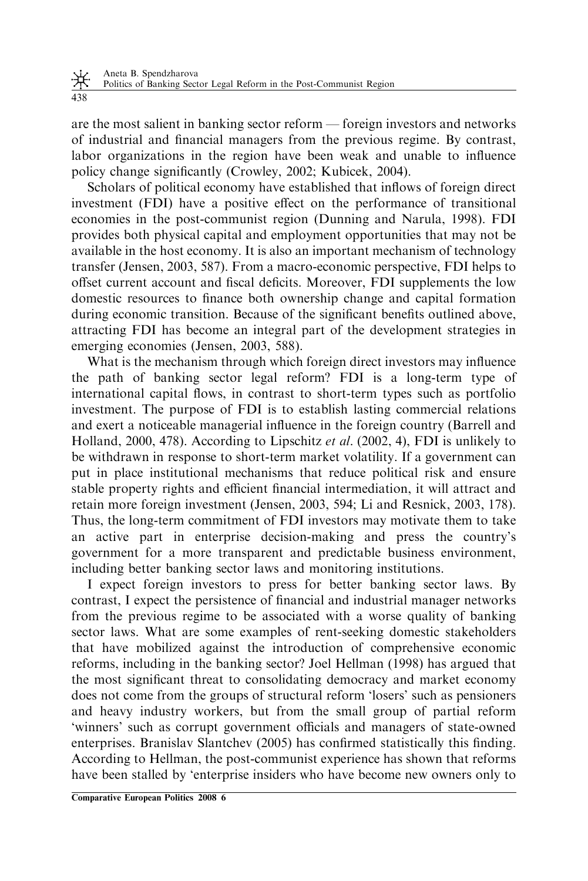438

are the most salient in banking sector reform — foreign investors and networks of industrial and financial managers from the previous regime. By contrast, labor organizations in the region have been weak and unable to influence policy change significantly (Crowley, 2002; Kubicek, 2004).

Scholars of political economy have established that inflows of foreign direct investment (FDI) have a positive effect on the performance of transitional economies in the post-communist region (Dunning and Narula, 1998). FDI provides both physical capital and employment opportunities that may not be available in the host economy. It is also an important mechanism of technology transfer (Jensen, 2003, 587). From a macro-economic perspective, FDI helps to offset current account and fiscal deficits. Moreover, FDI supplements the low domestic resources to finance both ownership change and capital formation during economic transition. Because of the significant benefits outlined above, attracting FDI has become an integral part of the development strategies in emerging economies (Jensen, 2003, 588).

What is the mechanism through which foreign direct investors may influence the path of banking sector legal reform? FDI is a long-term type of international capital flows, in contrast to short-term types such as portfolio investment. The purpose of FDI is to establish lasting commercial relations and exert a noticeable managerial influence in the foreign country (Barrell and Holland, 2000, 478). According to Lipschitz et al. (2002, 4), FDI is unlikely to be withdrawn in response to short-term market volatility. If a government can put in place institutional mechanisms that reduce political risk and ensure stable property rights and efficient financial intermediation, it will attract and retain more foreign investment (Jensen, 2003, 594; Li and Resnick, 2003, 178). Thus, the long-term commitment of FDI investors may motivate them to take an active part in enterprise decision-making and press the country's government for a more transparent and predictable business environment, including better banking sector laws and monitoring institutions.

I expect foreign investors to press for better banking sector laws. By contrast, I expect the persistence of financial and industrial manager networks from the previous regime to be associated with a worse quality of banking sector laws. What are some examples of rent-seeking domestic stakeholders that have mobilized against the introduction of comprehensive economic reforms, including in the banking sector? Joel Hellman (1998) has argued that the most significant threat to consolidating democracy and market economy does not come from the groups of structural reform 'losers' such as pensioners and heavy industry workers, but from the small group of partial reform 'winners' such as corrupt government officials and managers of state-owned enterprises. Branislav Slantchev (2005) has confirmed statistically this finding. According to Hellman, the post-communist experience has shown that reforms have been stalled by 'enterprise insiders who have become new owners only to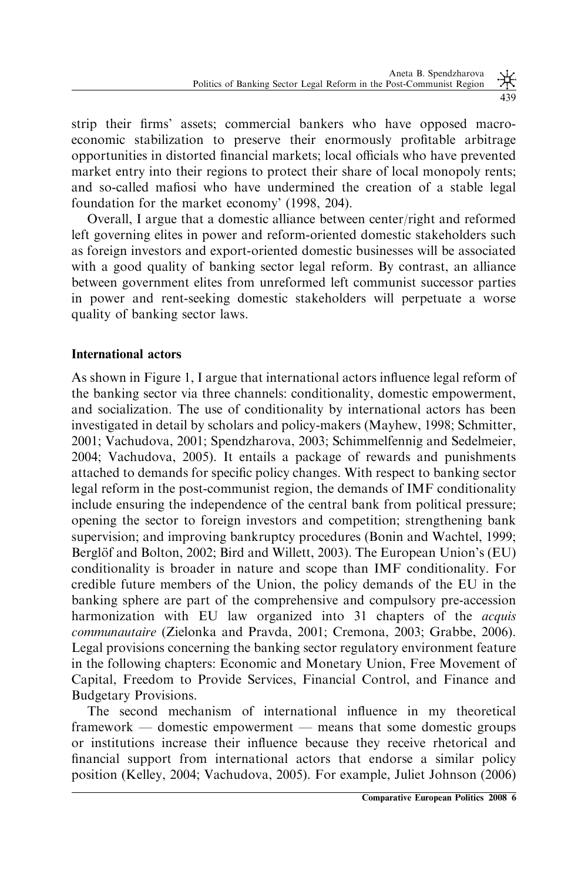strip their firms' assets; commercial bankers who have opposed macroeconomic stabilization to preserve their enormously profitable arbitrage opportunities in distorted financial markets; local officials who have prevented market entry into their regions to protect their share of local monopoly rents; and so-called mafiosi who have undermined the creation of a stable legal foundation for the market economy' (1998, 204).

Overall, I argue that a domestic alliance between center/right and reformed left governing elites in power and reform-oriented domestic stakeholders such as foreign investors and export-oriented domestic businesses will be associated with a good quality of banking sector legal reform. By contrast, an alliance between government elites from unreformed left communist successor parties in power and rent-seeking domestic stakeholders will perpetuate a worse quality of banking sector laws.

### International actors

As shown in Figure 1, I argue that international actors influence legal reform of the banking sector via three channels: conditionality, domestic empowerment, and socialization. The use of conditionality by international actors has been investigated in detail by scholars and policy-makers (Mayhew, 1998; Schmitter, 2001; Vachudova, 2001; Spendzharova, 2003; Schimmelfennig and Sedelmeier, 2004; Vachudova, 2005). It entails a package of rewards and punishments attached to demands for specific policy changes. With respect to banking sector legal reform in the post-communist region, the demands of IMF conditionality include ensuring the independence of the central bank from political pressure; opening the sector to foreign investors and competition; strengthening bank supervision; and improving bankruptcy procedures (Bonin and Wachtel, 1999; Berglöf and Bolton, 2002; Bird and Willett, 2003). The European Union's (EU) conditionality is broader in nature and scope than IMF conditionality. For credible future members of the Union, the policy demands of the EU in the banking sphere are part of the comprehensive and compulsory pre-accession harmonization with EU law organized into 31 chapters of the *acquis* communautaire (Zielonka and Pravda, 2001; Cremona, 2003; Grabbe, 2006). Legal provisions concerning the banking sector regulatory environment feature in the following chapters: Economic and Monetary Union, Free Movement of Capital, Freedom to Provide Services, Financial Control, and Finance and Budgetary Provisions.

The second mechanism of international influence in my theoretical framework — domestic empowerment — means that some domestic groups or institutions increase their influence because they receive rhetorical and financial support from international actors that endorse a similar policy position (Kelley, 2004; Vachudova, 2005). For example, Juliet Johnson (2006)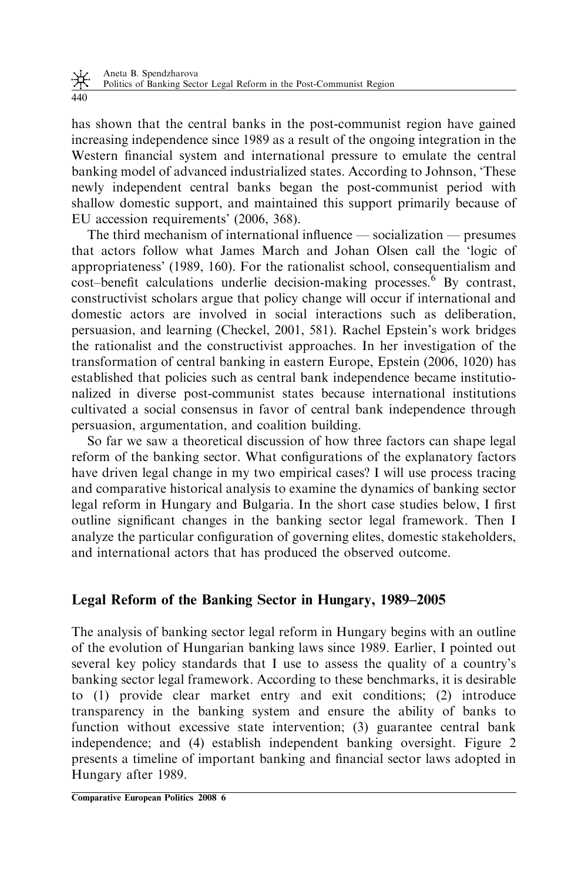has shown that the central banks in the post-communist region have gained increasing independence since 1989 as a result of the ongoing integration in the Western financial system and international pressure to emulate the central banking model of advanced industrialized states. According to Johnson, 'These newly independent central banks began the post-communist period with shallow domestic support, and maintained this support primarily because of EU accession requirements' (2006, 368).

The third mechanism of international influence — socialization — presumes that actors follow what James March and Johan Olsen call the 'logic of appropriateness' (1989, 160). For the rationalist school, consequentialism and  $cost$ –benefit calculations underlie decision-making processes. $6$  By contrast, constructivist scholars argue that policy change will occur if international and domestic actors are involved in social interactions such as deliberation, persuasion, and learning (Checkel, 2001, 581). Rachel Epstein's work bridges the rationalist and the constructivist approaches. In her investigation of the transformation of central banking in eastern Europe, Epstein (2006, 1020) has established that policies such as central bank independence became institutionalized in diverse post-communist states because international institutions cultivated a social consensus in favor of central bank independence through persuasion, argumentation, and coalition building.

So far we saw a theoretical discussion of how three factors can shape legal reform of the banking sector. What configurations of the explanatory factors have driven legal change in my two empirical cases? I will use process tracing and comparative historical analysis to examine the dynamics of banking sector legal reform in Hungary and Bulgaria. In the short case studies below, I first outline significant changes in the banking sector legal framework. Then I analyze the particular configuration of governing elites, domestic stakeholders, and international actors that has produced the observed outcome.

# Legal Reform of the Banking Sector in Hungary, 1989–2005

The analysis of banking sector legal reform in Hungary begins with an outline of the evolution of Hungarian banking laws since 1989. Earlier, I pointed out several key policy standards that I use to assess the quality of a country's banking sector legal framework. According to these benchmarks, it is desirable to (1) provide clear market entry and exit conditions; (2) introduce transparency in the banking system and ensure the ability of banks to function without excessive state intervention; (3) guarantee central bank independence; and (4) establish independent banking oversight. Figure 2 presents a timeline of important banking and financial sector laws adopted in Hungary after 1989.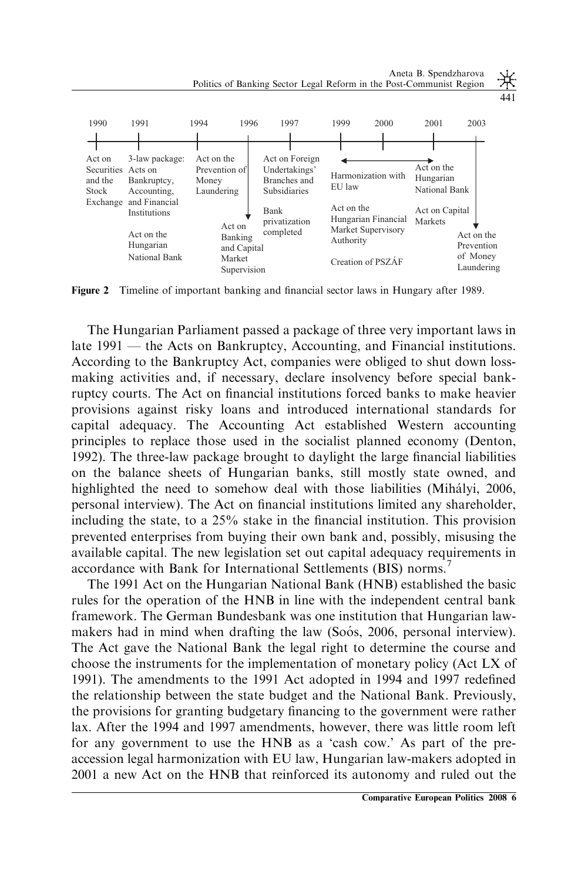

Figure 2 Timeline of important banking and financial sector laws in Hungary after 1989.

The Hungarian Parliament passed a package of three very important laws in late 1991 — the Acts on Bankruptcy, Accounting, and Financial institutions. According to the Bankruptcy Act, companies were obliged to shut down lossmaking activities and, if necessary, declare insolvency before special bankruptcy courts. The Act on financial institutions forced banks to make heavier provisions against risky loans and introduced international standards for capital adequacy. The Accounting Act established Western accounting principles to replace those used in the socialist planned economy (Denton, 1992). The three-law package brought to daylight the large financial liabilities on the balance sheets of Hungarian banks, still mostly state owned, and highlighted the need to somehow deal with those liabilities (Mihályi, 2006, personal interview). The Act on financial institutions limited any shareholder, including the state, to a 25% stake in the financial institution. This provision prevented enterprises from buying their own bank and, possibly, misusing the available capital. The new legislation set out capital adequacy requirements in accordance with Bank for International Settlements (BIS) norms.<sup>7</sup>

The 1991 Act on the Hungarian National Bank (HNB) established the basic rules for the operation of the HNB in line with the independent central bank framework. The German Bundesbank was one institution that Hungarian lawmakers had in mind when drafting the law (Soós, 2006, personal interview). The Act gave the National Bank the legal right to determine the course and choose the instruments for the implementation of monetary policy (Act LX of 1991). The amendments to the 1991 Act adopted in 1994 and 1997 redefined the relationship between the state budget and the National Bank. Previously, the provisions for granting budgetary financing to the government were rather lax. After the 1994 and 1997 amendments, however, there was little room left for any government to use the HNB as a 'cash cow.' As part of the preaccession legal harmonization with EU law, Hungarian law-makers adopted in 2001 a new Act on the HNB that reinforced its autonomy and ruled out the

Aneta B. Spendzharova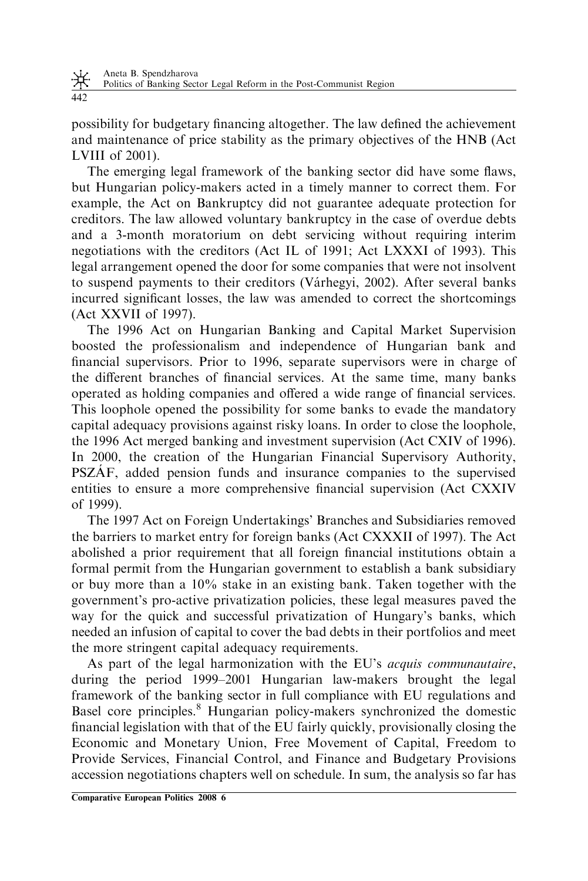Aneta B. Spendzharova

米 Politics of Banking Sector Legal Reform in the Post-Communist Region

442

possibility for budgetary financing altogether. The law defined the achievement and maintenance of price stability as the primary objectives of the HNB (Act LVIII of 2001).

The emerging legal framework of the banking sector did have some flaws, but Hungarian policy-makers acted in a timely manner to correct them. For example, the Act on Bankruptcy did not guarantee adequate protection for creditors. The law allowed voluntary bankruptcy in the case of overdue debts and a 3-month moratorium on debt servicing without requiring interim negotiations with the creditors (Act IL of 1991; Act LXXXI of 1993). This legal arrangement opened the door for some companies that were not insolvent to suspend payments to their creditors (Várhegyi, 2002). After several banks incurred significant losses, the law was amended to correct the shortcomings (Act XXVII of 1997).

The 1996 Act on Hungarian Banking and Capital Market Supervision boosted the professionalism and independence of Hungarian bank and financial supervisors. Prior to 1996, separate supervisors were in charge of the different branches of financial services. At the same time, many banks operated as holding companies and offered a wide range of financial services. This loophole opened the possibility for some banks to evade the mandatory capital adequacy provisions against risky loans. In order to close the loophole, the 1996 Act merged banking and investment supervision (Act CXIV of 1996). In 2000, the creation of the Hungarian Financial Supervisory Authority, PSZAF, added pension funds and insurance companies to the supervised entities to ensure a more comprehensive financial supervision (Act CXXIV of 1999).

The 1997 Act on Foreign Undertakings' Branches and Subsidiaries removed the barriers to market entry for foreign banks (Act CXXXII of 1997). The Act abolished a prior requirement that all foreign financial institutions obtain a formal permit from the Hungarian government to establish a bank subsidiary or buy more than a 10% stake in an existing bank. Taken together with the government's pro-active privatization policies, these legal measures paved the way for the quick and successful privatization of Hungary's banks, which needed an infusion of capital to cover the bad debts in their portfolios and meet the more stringent capital adequacy requirements.

As part of the legal harmonization with the EU's acquis communautaire, during the period 1999–2001 Hungarian law-makers brought the legal framework of the banking sector in full compliance with EU regulations and Basel core principles.<sup>8</sup> Hungarian policy-makers synchronized the domestic financial legislation with that of the EU fairly quickly, provisionally closing the Economic and Monetary Union, Free Movement of Capital, Freedom to Provide Services, Financial Control, and Finance and Budgetary Provisions accession negotiations chapters well on schedule. In sum, the analysis so far has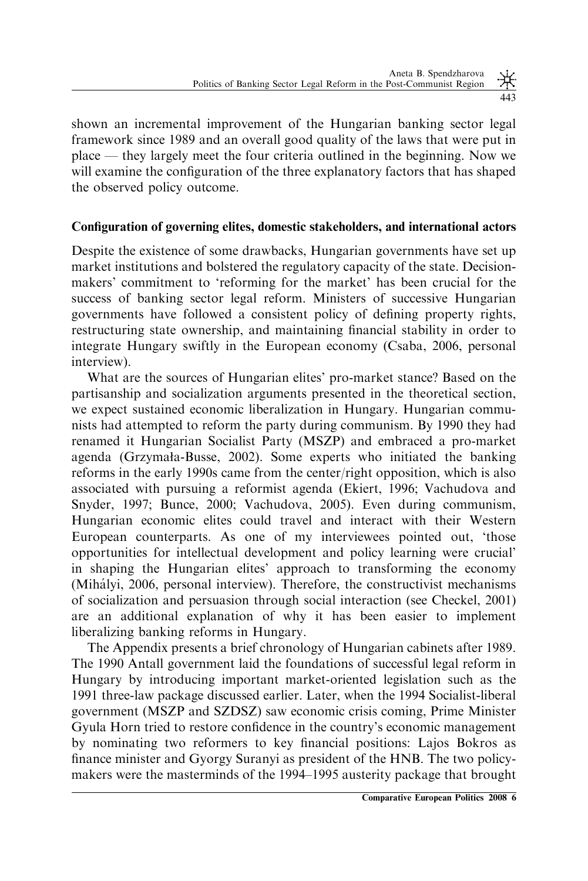shown an incremental improvement of the Hungarian banking sector legal framework since 1989 and an overall good quality of the laws that were put in place — they largely meet the four criteria outlined in the beginning. Now we will examine the configuration of the three explanatory factors that has shaped the observed policy outcome.

### Configuration of governing elites, domestic stakeholders, and international actors

Despite the existence of some drawbacks, Hungarian governments have set up market institutions and bolstered the regulatory capacity of the state. Decisionmakers' commitment to 'reforming for the market' has been crucial for the success of banking sector legal reform. Ministers of successive Hungarian governments have followed a consistent policy of defining property rights, restructuring state ownership, and maintaining financial stability in order to integrate Hungary swiftly in the European economy (Csaba, 2006, personal interview).

What are the sources of Hungarian elites' pro-market stance? Based on the partisanship and socialization arguments presented in the theoretical section, we expect sustained economic liberalization in Hungary. Hungarian communists had attempted to reform the party during communism. By 1990 they had renamed it Hungarian Socialist Party (MSZP) and embraced a pro-market agenda (Grzymała-Busse, 2002). Some experts who initiated the banking reforms in the early 1990s came from the center/right opposition, which is also associated with pursuing a reformist agenda (Ekiert, 1996; Vachudova and Snyder, 1997; Bunce, 2000; Vachudova, 2005). Even during communism, Hungarian economic elites could travel and interact with their Western European counterparts. As one of my interviewees pointed out, 'those opportunities for intellectual development and policy learning were crucial' in shaping the Hungarian elites' approach to transforming the economy (Mihályi, 2006, personal interview). Therefore, the constructivist mechanisms of socialization and persuasion through social interaction (see Checkel, 2001) are an additional explanation of why it has been easier to implement liberalizing banking reforms in Hungary.

The Appendix presents a brief chronology of Hungarian cabinets after 1989. The 1990 Antall government laid the foundations of successful legal reform in Hungary by introducing important market-oriented legislation such as the 1991 three-law package discussed earlier. Later, when the 1994 Socialist-liberal government (MSZP and SZDSZ) saw economic crisis coming, Prime Minister Gyula Horn tried to restore confidence in the country's economic management by nominating two reformers to key financial positions: Lajos Bokros as finance minister and Gyorgy Suranyi as president of the HNB. The two policymakers were the masterminds of the 1994–1995 austerity package that brought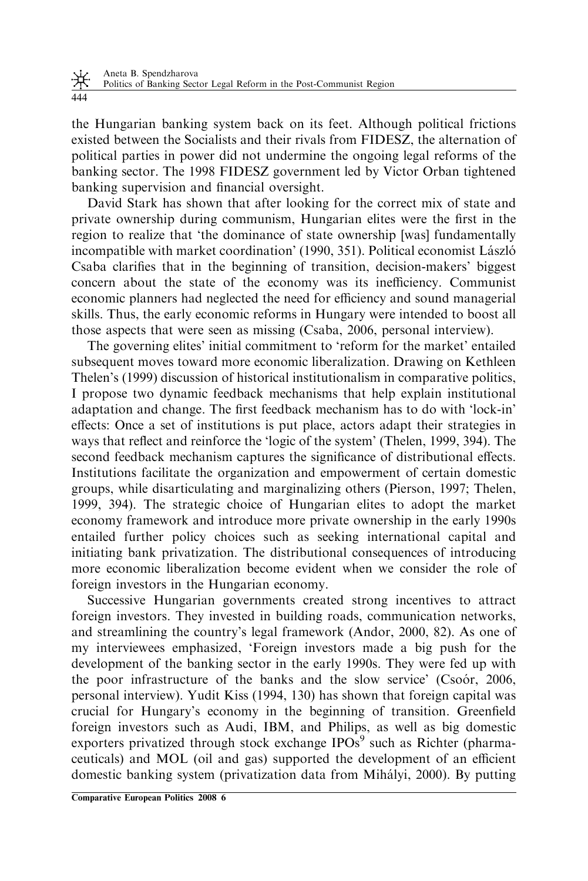⋇ Politics of Banking Sector Legal Reform in the Post-Communist Region

444

the Hungarian banking system back on its feet. Although political frictions existed between the Socialists and their rivals from FIDESZ, the alternation of political parties in power did not undermine the ongoing legal reforms of the banking sector. The 1998 FIDESZ government led by Victor Orban tightened banking supervision and financial oversight.

David Stark has shown that after looking for the correct mix of state and private ownership during communism, Hungarian elites were the first in the region to realize that 'the dominance of state ownership [was] fundamentally incompatible with market coordination' (1990, 351). Political economist László Csaba clarifies that in the beginning of transition, decision-makers' biggest concern about the state of the economy was its inefficiency. Communist economic planners had neglected the need for efficiency and sound managerial skills. Thus, the early economic reforms in Hungary were intended to boost all those aspects that were seen as missing (Csaba, 2006, personal interview).

The governing elites' initial commitment to 'reform for the market' entailed subsequent moves toward more economic liberalization. Drawing on Kethleen Thelen's (1999) discussion of historical institutionalism in comparative politics, I propose two dynamic feedback mechanisms that help explain institutional adaptation and change. The first feedback mechanism has to do with 'lock-in' effects: Once a set of institutions is put place, actors adapt their strategies in ways that reflect and reinforce the 'logic of the system' (Thelen, 1999, 394). The second feedback mechanism captures the significance of distributional effects. Institutions facilitate the organization and empowerment of certain domestic groups, while disarticulating and marginalizing others (Pierson, 1997; Thelen, 1999, 394). The strategic choice of Hungarian elites to adopt the market economy framework and introduce more private ownership in the early 1990s entailed further policy choices such as seeking international capital and initiating bank privatization. The distributional consequences of introducing more economic liberalization become evident when we consider the role of foreign investors in the Hungarian economy.

Successive Hungarian governments created strong incentives to attract foreign investors. They invested in building roads, communication networks, and streamlining the country's legal framework (Andor, 2000, 82). As one of my interviewees emphasized, 'Foreign investors made a big push for the development of the banking sector in the early 1990s. They were fed up with the poor infrastructure of the banks and the slow service' (Csoo´r, 2006, personal interview). Yudit Kiss (1994, 130) has shown that foreign capital was crucial for Hungary's economy in the beginning of transition. Greenfield foreign investors such as Audi, IBM, and Philips, as well as big domestic exporters privatized through stock exchange  $IPOs<sup>9</sup>$  such as Richter (pharmaceuticals) and MOL (oil and gas) supported the development of an efficient domestic banking system (privatization data from Miha´lyi, 2000). By putting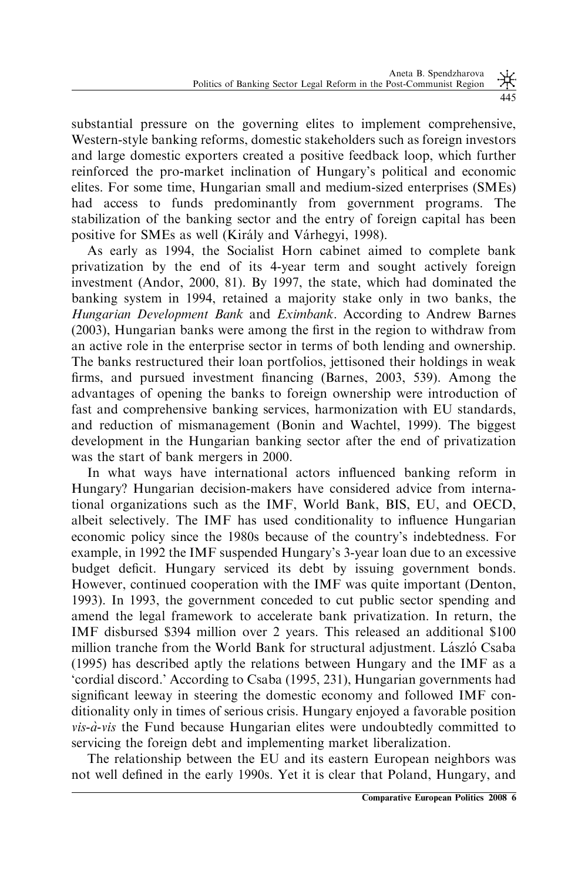substantial pressure on the governing elites to implement comprehensive, Western-style banking reforms, domestic stakeholders such as foreign investors and large domestic exporters created a positive feedback loop, which further reinforced the pro-market inclination of Hungary's political and economic elites. For some time, Hungarian small and medium-sized enterprises (SMEs) had access to funds predominantly from government programs. The stabilization of the banking sector and the entry of foreign capital has been positive for SMEs as well (Király and Várhegyi, 1998).

As early as 1994, the Socialist Horn cabinet aimed to complete bank privatization by the end of its 4-year term and sought actively foreign investment (Andor, 2000, 81). By 1997, the state, which had dominated the banking system in 1994, retained a majority stake only in two banks, the Hungarian Development Bank and Eximbank. According to Andrew Barnes (2003), Hungarian banks were among the first in the region to withdraw from an active role in the enterprise sector in terms of both lending and ownership. The banks restructured their loan portfolios, jettisoned their holdings in weak firms, and pursued investment financing (Barnes, 2003, 539). Among the advantages of opening the banks to foreign ownership were introduction of fast and comprehensive banking services, harmonization with EU standards, and reduction of mismanagement (Bonin and Wachtel, 1999). The biggest development in the Hungarian banking sector after the end of privatization was the start of bank mergers in 2000.

In what ways have international actors influenced banking reform in Hungary? Hungarian decision-makers have considered advice from international organizations such as the IMF, World Bank, BIS, EU, and OECD, albeit selectively. The IMF has used conditionality to influence Hungarian economic policy since the 1980s because of the country's indebtedness. For example, in 1992 the IMF suspended Hungary's 3-year loan due to an excessive budget deficit. Hungary serviced its debt by issuing government bonds. However, continued cooperation with the IMF was quite important (Denton, 1993). In 1993, the government conceded to cut public sector spending and amend the legal framework to accelerate bank privatization. In return, the IMF disbursed \$394 million over 2 years. This released an additional \$100 million tranche from the World Bank for structural adjustment. László Csaba (1995) has described aptly the relations between Hungary and the IMF as a 'cordial discord.' According to Csaba (1995, 231), Hungarian governments had significant leeway in steering the domestic economy and followed IMF conditionality only in times of serious crisis. Hungary enjoyed a favorable position  $vis-\dot{a}-vis$  the Fund because Hungarian elites were undoubtedly committed to servicing the foreign debt and implementing market liberalization.

The relationship between the EU and its eastern European neighbors was not well defined in the early 1990s. Yet it is clear that Poland, Hungary, and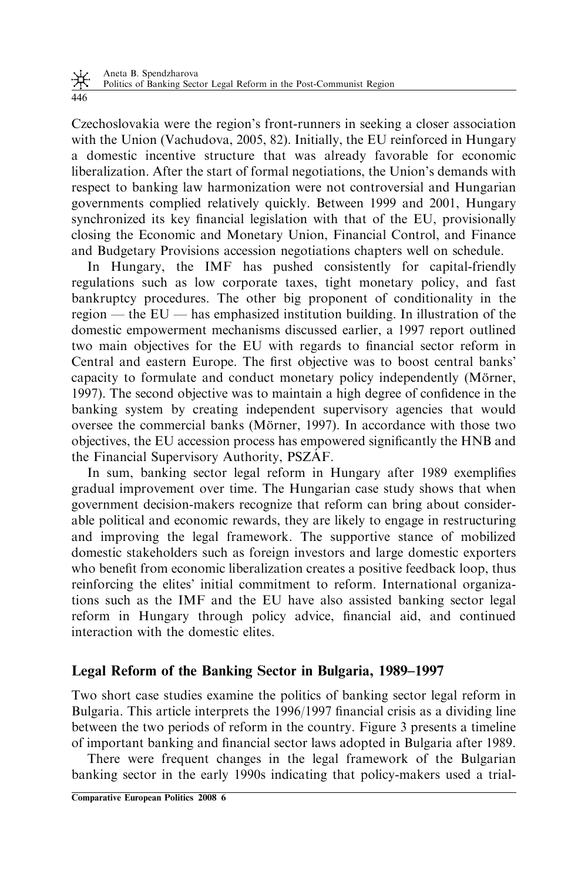Czechoslovakia were the region's front-runners in seeking a closer association with the Union (Vachudova, 2005, 82). Initially, the EU reinforced in Hungary a domestic incentive structure that was already favorable for economic liberalization. After the start of formal negotiations, the Union's demands with respect to banking law harmonization were not controversial and Hungarian governments complied relatively quickly. Between 1999 and 2001, Hungary synchronized its key financial legislation with that of the EU, provisionally closing the Economic and Monetary Union, Financial Control, and Finance and Budgetary Provisions accession negotiations chapters well on schedule.

In Hungary, the IMF has pushed consistently for capital-friendly regulations such as low corporate taxes, tight monetary policy, and fast bankruptcy procedures. The other big proponent of conditionality in the region — the EU — has emphasized institution building. In illustration of the domestic empowerment mechanisms discussed earlier, a 1997 report outlined two main objectives for the EU with regards to financial sector reform in Central and eastern Europe. The first objective was to boost central banks' capacity to formulate and conduct monetary policy independently (Mörner, 1997). The second objective was to maintain a high degree of confidence in the banking system by creating independent supervisory agencies that would oversee the commercial banks (Mörner, 1997). In accordance with those two objectives, the EU accession process has empowered significantly the HNB and the Financial Supervisory Authority, PSZAF.

In sum, banking sector legal reform in Hungary after 1989 exemplifies gradual improvement over time. The Hungarian case study shows that when government decision-makers recognize that reform can bring about considerable political and economic rewards, they are likely to engage in restructuring and improving the legal framework. The supportive stance of mobilized domestic stakeholders such as foreign investors and large domestic exporters who benefit from economic liberalization creates a positive feedback loop, thus reinforcing the elites' initial commitment to reform. International organizations such as the IMF and the EU have also assisted banking sector legal reform in Hungary through policy advice, financial aid, and continued interaction with the domestic elites.

# Legal Reform of the Banking Sector in Bulgaria, 1989–1997

Two short case studies examine the politics of banking sector legal reform in Bulgaria. This article interprets the 1996/1997 financial crisis as a dividing line between the two periods of reform in the country. Figure 3 presents a timeline of important banking and financial sector laws adopted in Bulgaria after 1989.

There were frequent changes in the legal framework of the Bulgarian banking sector in the early 1990s indicating that policy-makers used a trial-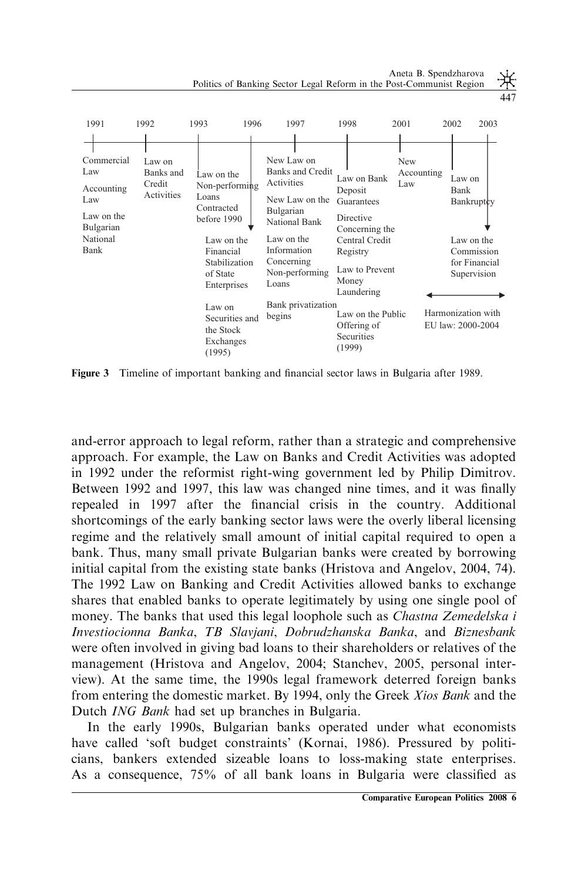Aneta B. Spendzharova Politics of Banking Sector Legal Reform in the Post-Communist Region





Figure 3 Timeline of important banking and financial sector laws in Bulgaria after 1989.

and-error approach to legal reform, rather than a strategic and comprehensive approach. For example, the Law on Banks and Credit Activities was adopted in 1992 under the reformist right-wing government led by Philip Dimitrov. Between 1992 and 1997, this law was changed nine times, and it was finally repealed in 1997 after the financial crisis in the country. Additional shortcomings of the early banking sector laws were the overly liberal licensing regime and the relatively small amount of initial capital required to open a bank. Thus, many small private Bulgarian banks were created by borrowing initial capital from the existing state banks (Hristova and Angelov, 2004, 74). The 1992 Law on Banking and Credit Activities allowed banks to exchange shares that enabled banks to operate legitimately by using one single pool of money. The banks that used this legal loophole such as *Chastna Zemedelska i* Investiocionna Banka, TB Slavjani, Dobrudzhanska Banka, and Biznesbank were often involved in giving bad loans to their shareholders or relatives of the management (Hristova and Angelov, 2004; Stanchev, 2005, personal interview). At the same time, the 1990s legal framework deterred foreign banks from entering the domestic market. By 1994, only the Greek Xios Bank and the Dutch ING Bank had set up branches in Bulgaria.

In the early 1990s, Bulgarian banks operated under what economists have called 'soft budget constraints' (Kornai, 1986). Pressured by politicians, bankers extended sizeable loans to loss-making state enterprises. As a consequence, 75% of all bank loans in Bulgaria were classified as

447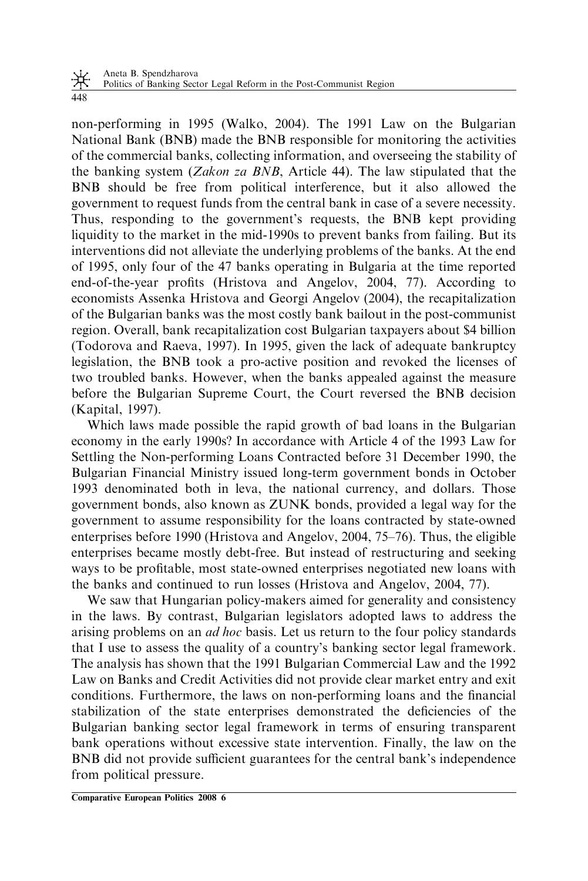non-performing in 1995 (Walko, 2004). The 1991 Law on the Bulgarian National Bank (BNB) made the BNB responsible for monitoring the activities of the commercial banks, collecting information, and overseeing the stability of the banking system (Zakon za BNB, Article 44). The law stipulated that the BNB should be free from political interference, but it also allowed the government to request funds from the central bank in case of a severe necessity. Thus, responding to the government's requests, the BNB kept providing liquidity to the market in the mid-1990s to prevent banks from failing. But its interventions did not alleviate the underlying problems of the banks. At the end of 1995, only four of the 47 banks operating in Bulgaria at the time reported end-of-the-year profits (Hristova and Angelov, 2004, 77). According to economists Assenka Hristova and Georgi Angelov (2004), the recapitalization of the Bulgarian banks was the most costly bank bailout in the post-communist region. Overall, bank recapitalization cost Bulgarian taxpayers about \$4 billion (Todorova and Raeva, 1997). In 1995, given the lack of adequate bankruptcy legislation, the BNB took a pro-active position and revoked the licenses of two troubled banks. However, when the banks appealed against the measure before the Bulgarian Supreme Court, the Court reversed the BNB decision (Kapital, 1997).

Which laws made possible the rapid growth of bad loans in the Bulgarian economy in the early 1990s? In accordance with Article 4 of the 1993 Law for Settling the Non-performing Loans Contracted before 31 December 1990, the Bulgarian Financial Ministry issued long-term government bonds in October 1993 denominated both in leva, the national currency, and dollars. Those government bonds, also known as ZUNK bonds, provided a legal way for the government to assume responsibility for the loans contracted by state-owned enterprises before 1990 (Hristova and Angelov, 2004, 75–76). Thus, the eligible enterprises became mostly debt-free. But instead of restructuring and seeking ways to be profitable, most state-owned enterprises negotiated new loans with the banks and continued to run losses (Hristova and Angelov, 2004, 77).

We saw that Hungarian policy-makers aimed for generality and consistency in the laws. By contrast, Bulgarian legislators adopted laws to address the arising problems on an *ad hoc* basis. Let us return to the four policy standards that I use to assess the quality of a country's banking sector legal framework. The analysis has shown that the 1991 Bulgarian Commercial Law and the 1992 Law on Banks and Credit Activities did not provide clear market entry and exit conditions. Furthermore, the laws on non-performing loans and the financial stabilization of the state enterprises demonstrated the deficiencies of the Bulgarian banking sector legal framework in terms of ensuring transparent bank operations without excessive state intervention. Finally, the law on the BNB did not provide sufficient guarantees for the central bank's independence from political pressure.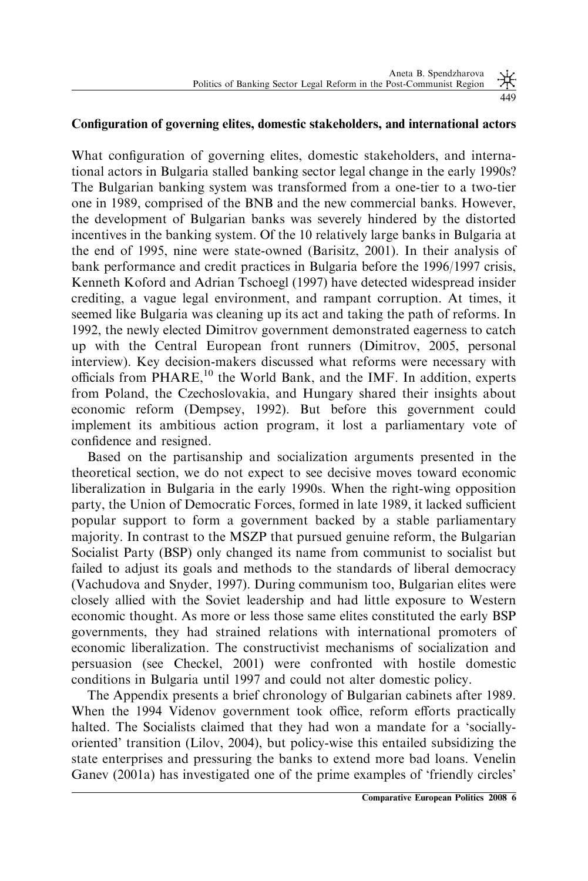### Configuration of governing elites, domestic stakeholders, and international actors

What configuration of governing elites, domestic stakeholders, and international actors in Bulgaria stalled banking sector legal change in the early 1990s? The Bulgarian banking system was transformed from a one-tier to a two-tier one in 1989, comprised of the BNB and the new commercial banks. However, the development of Bulgarian banks was severely hindered by the distorted incentives in the banking system. Of the 10 relatively large banks in Bulgaria at the end of 1995, nine were state-owned (Barisitz, 2001). In their analysis of bank performance and credit practices in Bulgaria before the 1996/1997 crisis, Kenneth Koford and Adrian Tschoegl (1997) have detected widespread insider crediting, a vague legal environment, and rampant corruption. At times, it seemed like Bulgaria was cleaning up its act and taking the path of reforms. In 1992, the newly elected Dimitrov government demonstrated eagerness to catch up with the Central European front runners (Dimitrov, 2005, personal interview). Key decision-makers discussed what reforms were necessary with officials from  $PHARE$ ,<sup>10</sup> the World Bank, and the IMF. In addition, experts from Poland, the Czechoslovakia, and Hungary shared their insights about economic reform (Dempsey, 1992). But before this government could implement its ambitious action program, it lost a parliamentary vote of confidence and resigned.

Based on the partisanship and socialization arguments presented in the theoretical section, we do not expect to see decisive moves toward economic liberalization in Bulgaria in the early 1990s. When the right-wing opposition party, the Union of Democratic Forces, formed in late 1989, it lacked sufficient popular support to form a government backed by a stable parliamentary majority. In contrast to the MSZP that pursued genuine reform, the Bulgarian Socialist Party (BSP) only changed its name from communist to socialist but failed to adjust its goals and methods to the standards of liberal democracy (Vachudova and Snyder, 1997). During communism too, Bulgarian elites were closely allied with the Soviet leadership and had little exposure to Western economic thought. As more or less those same elites constituted the early BSP governments, they had strained relations with international promoters of economic liberalization. The constructivist mechanisms of socialization and persuasion (see Checkel, 2001) were confronted with hostile domestic conditions in Bulgaria until 1997 and could not alter domestic policy.

The Appendix presents a brief chronology of Bulgarian cabinets after 1989. When the 1994 Videnov government took office, reform efforts practically halted. The Socialists claimed that they had won a mandate for a 'sociallyoriented' transition (Lilov, 2004), but policy-wise this entailed subsidizing the state enterprises and pressuring the banks to extend more bad loans. Venelin Ganev (2001a) has investigated one of the prime examples of 'friendly circles'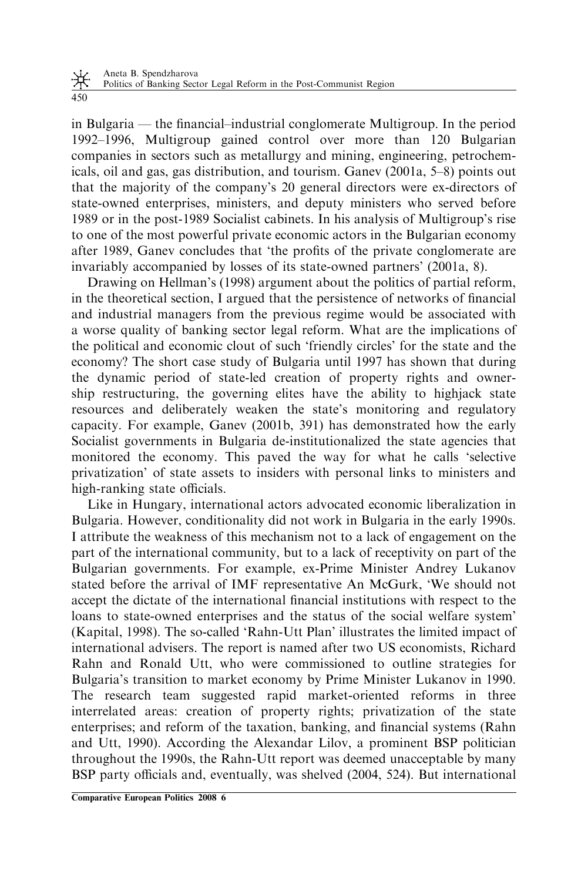in Bulgaria — the financial–industrial conglomerate Multigroup. In the period 1992–1996, Multigroup gained control over more than 120 Bulgarian companies in sectors such as metallurgy and mining, engineering, petrochemicals, oil and gas, gas distribution, and tourism. Ganev (2001a, 5–8) points out that the majority of the company's 20 general directors were ex-directors of state-owned enterprises, ministers, and deputy ministers who served before 1989 or in the post-1989 Socialist cabinets. In his analysis of Multigroup's rise to one of the most powerful private economic actors in the Bulgarian economy after 1989, Ganev concludes that 'the profits of the private conglomerate are invariably accompanied by losses of its state-owned partners' (2001a, 8).

Drawing on Hellman's (1998) argument about the politics of partial reform, in the theoretical section, I argued that the persistence of networks of financial and industrial managers from the previous regime would be associated with a worse quality of banking sector legal reform. What are the implications of the political and economic clout of such 'friendly circles' for the state and the economy? The short case study of Bulgaria until 1997 has shown that during the dynamic period of state-led creation of property rights and ownership restructuring, the governing elites have the ability to highjack state resources and deliberately weaken the state's monitoring and regulatory capacity. For example, Ganev (2001b, 391) has demonstrated how the early Socialist governments in Bulgaria de-institutionalized the state agencies that monitored the economy. This paved the way for what he calls 'selective privatization' of state assets to insiders with personal links to ministers and high-ranking state officials.

Like in Hungary, international actors advocated economic liberalization in Bulgaria. However, conditionality did not work in Bulgaria in the early 1990s. I attribute the weakness of this mechanism not to a lack of engagement on the part of the international community, but to a lack of receptivity on part of the Bulgarian governments. For example, ex-Prime Minister Andrey Lukanov stated before the arrival of IMF representative An McGurk, 'We should not accept the dictate of the international financial institutions with respect to the loans to state-owned enterprises and the status of the social welfare system' (Kapital, 1998). The so-called 'Rahn-Utt Plan' illustrates the limited impact of international advisers. The report is named after two US economists, Richard Rahn and Ronald Utt, who were commissioned to outline strategies for Bulgaria's transition to market economy by Prime Minister Lukanov in 1990. The research team suggested rapid market-oriented reforms in three interrelated areas: creation of property rights; privatization of the state enterprises; and reform of the taxation, banking, and financial systems (Rahn and Utt, 1990). According the Alexandar Lilov, a prominent BSP politician throughout the 1990s, the Rahn-Utt report was deemed unacceptable by many BSP party officials and, eventually, was shelved (2004, 524). But international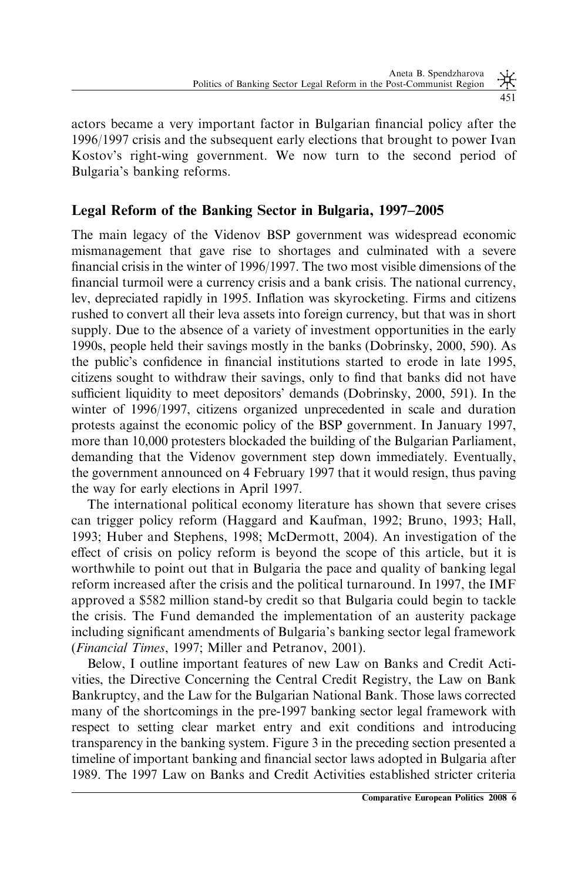actors became a very important factor in Bulgarian financial policy after the 1996/1997 crisis and the subsequent early elections that brought to power Ivan Kostov's right-wing government. We now turn to the second period of Bulgaria's banking reforms.

# Legal Reform of the Banking Sector in Bulgaria, 1997–2005

The main legacy of the Videnov BSP government was widespread economic mismanagement that gave rise to shortages and culminated with a severe financial crisis in the winter of 1996/1997. The two most visible dimensions of the financial turmoil were a currency crisis and a bank crisis. The national currency, lev, depreciated rapidly in 1995. Inflation was skyrocketing. Firms and citizens rushed to convert all their leva assets into foreign currency, but that was in short supply. Due to the absence of a variety of investment opportunities in the early 1990s, people held their savings mostly in the banks (Dobrinsky, 2000, 590). As the public's confidence in financial institutions started to erode in late 1995, citizens sought to withdraw their savings, only to find that banks did not have sufficient liquidity to meet depositors' demands (Dobrinsky, 2000, 591). In the winter of 1996/1997, citizens organized unprecedented in scale and duration protests against the economic policy of the BSP government. In January 1997, more than 10,000 protesters blockaded the building of the Bulgarian Parliament, demanding that the Videnov government step down immediately. Eventually, the government announced on 4 February 1997 that it would resign, thus paving the way for early elections in April 1997.

The international political economy literature has shown that severe crises can trigger policy reform (Haggard and Kaufman, 1992; Bruno, 1993; Hall, 1993; Huber and Stephens, 1998; McDermott, 2004). An investigation of the effect of crisis on policy reform is beyond the scope of this article, but it is worthwhile to point out that in Bulgaria the pace and quality of banking legal reform increased after the crisis and the political turnaround. In 1997, the IMF approved a \$582 million stand-by credit so that Bulgaria could begin to tackle the crisis. The Fund demanded the implementation of an austerity package including significant amendments of Bulgaria's banking sector legal framework (Financial Times, 1997; Miller and Petranov, 2001).

Below, I outline important features of new Law on Banks and Credit Activities, the Directive Concerning the Central Credit Registry, the Law on Bank Bankruptcy, and the Law for the Bulgarian National Bank. Those laws corrected many of the shortcomings in the pre-1997 banking sector legal framework with respect to setting clear market entry and exit conditions and introducing transparency in the banking system. Figure 3 in the preceding section presented a timeline of important banking and financial sector laws adopted in Bulgaria after 1989. The 1997 Law on Banks and Credit Activities established stricter criteria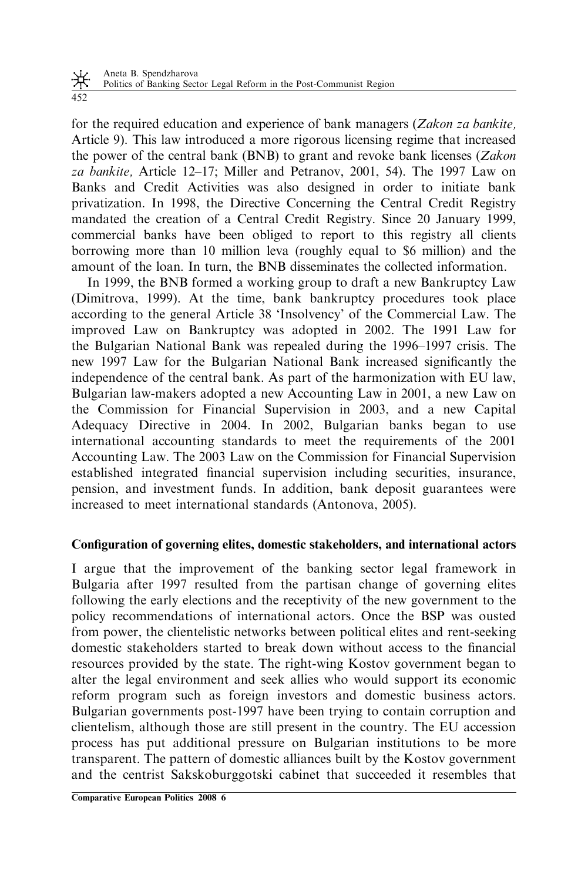for the required education and experience of bank managers (Zakon za bankite, Article 9). This law introduced a more rigorous licensing regime that increased the power of the central bank (BNB) to grant and revoke bank licenses ( $Zakon$ za bankite, Article 12–17; Miller and Petranov, 2001, 54). The 1997 Law on Banks and Credit Activities was also designed in order to initiate bank privatization. In 1998, the Directive Concerning the Central Credit Registry mandated the creation of a Central Credit Registry. Since 20 January 1999, commercial banks have been obliged to report to this registry all clients borrowing more than 10 million leva (roughly equal to \$6 million) and the amount of the loan. In turn, the BNB disseminates the collected information.

In 1999, the BNB formed a working group to draft a new Bankruptcy Law (Dimitrova, 1999). At the time, bank bankruptcy procedures took place according to the general Article 38 'Insolvency' of the Commercial Law. The improved Law on Bankruptcy was adopted in 2002. The 1991 Law for the Bulgarian National Bank was repealed during the 1996–1997 crisis. The new 1997 Law for the Bulgarian National Bank increased significantly the independence of the central bank. As part of the harmonization with EU law, Bulgarian law-makers adopted a new Accounting Law in 2001, a new Law on the Commission for Financial Supervision in 2003, and a new Capital Adequacy Directive in 2004. In 2002, Bulgarian banks began to use international accounting standards to meet the requirements of the 2001 Accounting Law. The 2003 Law on the Commission for Financial Supervision established integrated financial supervision including securities, insurance, pension, and investment funds. In addition, bank deposit guarantees were increased to meet international standards (Antonova, 2005).

# Configuration of governing elites, domestic stakeholders, and international actors

I argue that the improvement of the banking sector legal framework in Bulgaria after 1997 resulted from the partisan change of governing elites following the early elections and the receptivity of the new government to the policy recommendations of international actors. Once the BSP was ousted from power, the clientelistic networks between political elites and rent-seeking domestic stakeholders started to break down without access to the financial resources provided by the state. The right-wing Kostov government began to alter the legal environment and seek allies who would support its economic reform program such as foreign investors and domestic business actors. Bulgarian governments post-1997 have been trying to contain corruption and clientelism, although those are still present in the country. The EU accession process has put additional pressure on Bulgarian institutions to be more transparent. The pattern of domestic alliances built by the Kostov government and the centrist Sakskoburggotski cabinet that succeeded it resembles that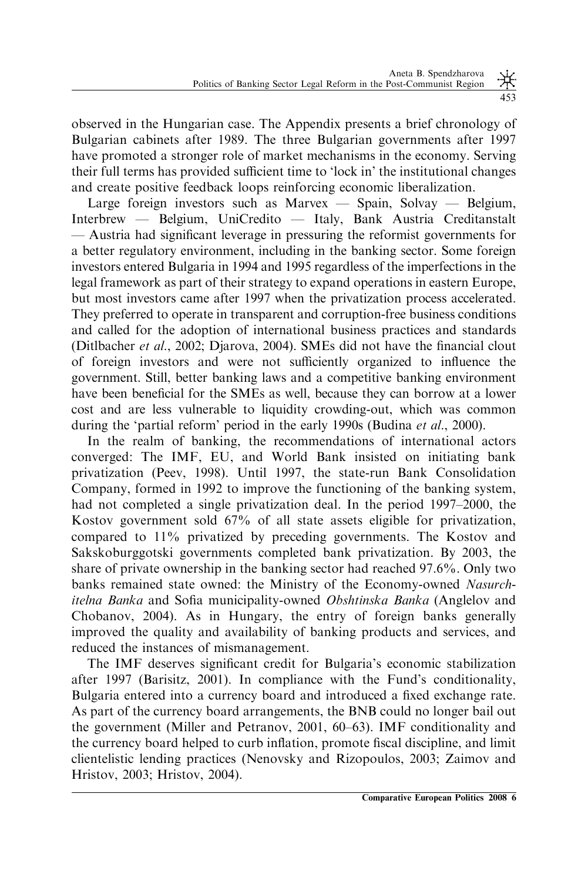observed in the Hungarian case. The Appendix presents a brief chronology of Bulgarian cabinets after 1989. The three Bulgarian governments after 1997 have promoted a stronger role of market mechanisms in the economy. Serving their full terms has provided sufficient time to 'lock in' the institutional changes and create positive feedback loops reinforcing economic liberalization.

Large foreign investors such as Marvex — Spain, Solvay — Belgium, Interbrew — Belgium, UniCredito — Italy, Bank Austria Creditanstalt — Austria had significant leverage in pressuring the reformist governments for a better regulatory environment, including in the banking sector. Some foreign investors entered Bulgaria in 1994 and 1995 regardless of the imperfections in the legal framework as part of their strategy to expand operations in eastern Europe, but most investors came after 1997 when the privatization process accelerated. They preferred to operate in transparent and corruption-free business conditions and called for the adoption of international business practices and standards (Ditlbacher et al., 2002; Djarova, 2004). SMEs did not have the financial clout of foreign investors and were not sufficiently organized to influence the government. Still, better banking laws and a competitive banking environment have been beneficial for the SMEs as well, because they can borrow at a lower cost and are less vulnerable to liquidity crowding-out, which was common during the 'partial reform' period in the early 1990s (Budina *et al.*, 2000).

In the realm of banking, the recommendations of international actors converged: The IMF, EU, and World Bank insisted on initiating bank privatization (Peev, 1998). Until 1997, the state-run Bank Consolidation Company, formed in 1992 to improve the functioning of the banking system, had not completed a single privatization deal. In the period 1997–2000, the Kostov government sold 67% of all state assets eligible for privatization, compared to 11% privatized by preceding governments. The Kostov and Sakskoburggotski governments completed bank privatization. By 2003, the share of private ownership in the banking sector had reached 97.6%. Only two banks remained state owned: the Ministry of the Economy-owned Nasurchitelna Banka and Sofia municipality-owned Obshtinska Banka (Anglelov and Chobanov, 2004). As in Hungary, the entry of foreign banks generally improved the quality and availability of banking products and services, and reduced the instances of mismanagement.

The IMF deserves significant credit for Bulgaria's economic stabilization after 1997 (Barisitz, 2001). In compliance with the Fund's conditionality, Bulgaria entered into a currency board and introduced a fixed exchange rate. As part of the currency board arrangements, the BNB could no longer bail out the government (Miller and Petranov, 2001, 60–63). IMF conditionality and the currency board helped to curb inflation, promote fiscal discipline, and limit clientelistic lending practices (Nenovsky and Rizopoulos, 2003; Zaimov and Hristov, 2003; Hristov, 2004).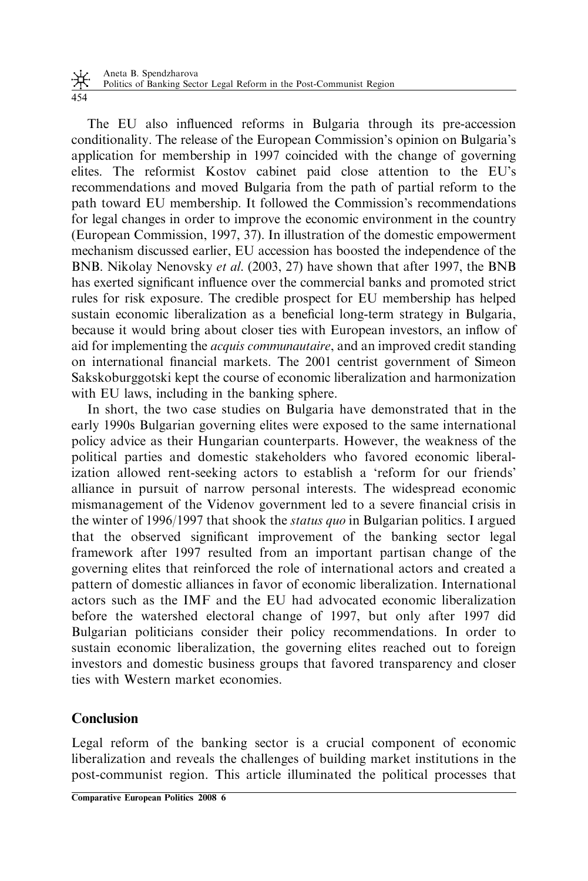The EU also influenced reforms in Bulgaria through its pre-accession conditionality. The release of the European Commission's opinion on Bulgaria's application for membership in 1997 coincided with the change of governing elites. The reformist Kostov cabinet paid close attention to the EU's recommendations and moved Bulgaria from the path of partial reform to the path toward EU membership. It followed the Commission's recommendations for legal changes in order to improve the economic environment in the country (European Commission, 1997, 37). In illustration of the domestic empowerment mechanism discussed earlier, EU accession has boosted the independence of the BNB. Nikolay Nenovsky et al. (2003, 27) have shown that after 1997, the BNB has exerted significant influence over the commercial banks and promoted strict rules for risk exposure. The credible prospect for EU membership has helped sustain economic liberalization as a beneficial long-term strategy in Bulgaria, because it would bring about closer ties with European investors, an inflow of aid for implementing the acquis communautaire, and an improved credit standing on international financial markets. The 2001 centrist government of Simeon Sakskoburggotski kept the course of economic liberalization and harmonization with EU laws, including in the banking sphere.

In short, the two case studies on Bulgaria have demonstrated that in the early 1990s Bulgarian governing elites were exposed to the same international policy advice as their Hungarian counterparts. However, the weakness of the political parties and domestic stakeholders who favored economic liberalization allowed rent-seeking actors to establish a 'reform for our friends' alliance in pursuit of narrow personal interests. The widespread economic mismanagement of the Videnov government led to a severe financial crisis in the winter of 1996/1997 that shook the status quo in Bulgarian politics. I argued that the observed significant improvement of the banking sector legal framework after 1997 resulted from an important partisan change of the governing elites that reinforced the role of international actors and created a pattern of domestic alliances in favor of economic liberalization. International actors such as the IMF and the EU had advocated economic liberalization before the watershed electoral change of 1997, but only after 1997 did Bulgarian politicians consider their policy recommendations. In order to sustain economic liberalization, the governing elites reached out to foreign investors and domestic business groups that favored transparency and closer ties with Western market economies.

# Conclusion

Legal reform of the banking sector is a crucial component of economic liberalization and reveals the challenges of building market institutions in the post-communist region. This article illuminated the political processes that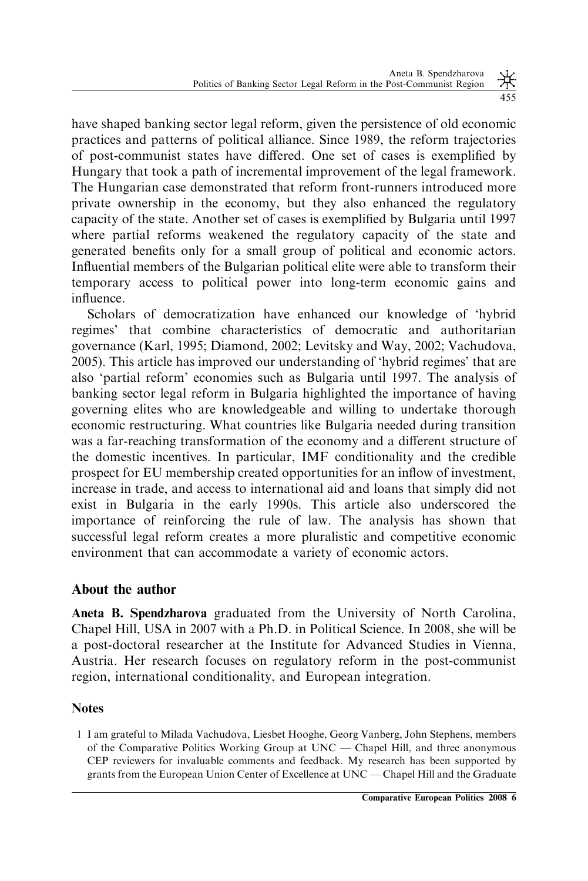have shaped banking sector legal reform, given the persistence of old economic practices and patterns of political alliance. Since 1989, the reform trajectories of post-communist states have differed. One set of cases is exemplified by Hungary that took a path of incremental improvement of the legal framework. The Hungarian case demonstrated that reform front-runners introduced more private ownership in the economy, but they also enhanced the regulatory capacity of the state. Another set of cases is exemplified by Bulgaria until 1997 where partial reforms weakened the regulatory capacity of the state and generated benefits only for a small group of political and economic actors. Influential members of the Bulgarian political elite were able to transform their temporary access to political power into long-term economic gains and influence.

Scholars of democratization have enhanced our knowledge of 'hybrid regimes' that combine characteristics of democratic and authoritarian governance (Karl, 1995; Diamond, 2002; Levitsky and Way, 2002; Vachudova, 2005). This article has improved our understanding of 'hybrid regimes' that are also 'partial reform' economies such as Bulgaria until 1997. The analysis of banking sector legal reform in Bulgaria highlighted the importance of having governing elites who are knowledgeable and willing to undertake thorough economic restructuring. What countries like Bulgaria needed during transition was a far-reaching transformation of the economy and a different structure of the domestic incentives. In particular, IMF conditionality and the credible prospect for EU membership created opportunities for an inflow of investment, increase in trade, and access to international aid and loans that simply did not exist in Bulgaria in the early 1990s. This article also underscored the importance of reinforcing the rule of law. The analysis has shown that successful legal reform creates a more pluralistic and competitive economic environment that can accommodate a variety of economic actors.

# About the author

Aneta B. Spendzharova graduated from the University of North Carolina, Chapel Hill, USA in 2007 with a Ph.D. in Political Science. In 2008, she will be a post-doctoral researcher at the Institute for Advanced Studies in Vienna, Austria. Her research focuses on regulatory reform in the post-communist region, international conditionality, and European integration.

### **Notes**

<sup>1</sup> I am grateful to Milada Vachudova, Liesbet Hooghe, Georg Vanberg, John Stephens, members of the Comparative Politics Working Group at UNC — Chapel Hill, and three anonymous CEP reviewers for invaluable comments and feedback. My research has been supported by grants from the European Union Center of Excellence at UNC — Chapel Hill and the Graduate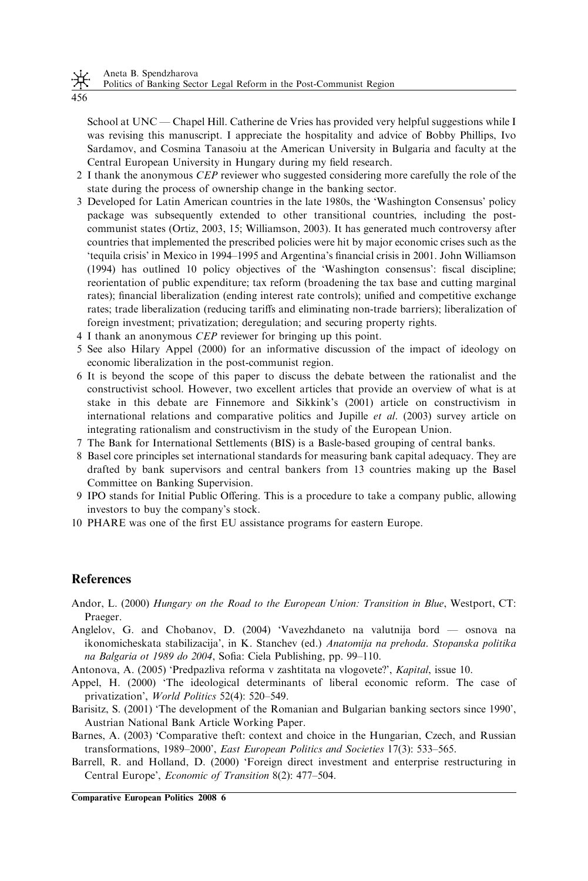Politics of Banking Sector Legal Reform in the Post-Communist Region

456

School at UNC — Chapel Hill. Catherine de Vries has provided very helpful suggestions while I was revising this manuscript. I appreciate the hospitality and advice of Bobby Phillips, Ivo Sardamov, and Cosmina Tanasoiu at the American University in Bulgaria and faculty at the Central European University in Hungary during my field research.

- 2 I thank the anonymous *CEP* reviewer who suggested considering more carefully the role of the state during the process of ownership change in the banking sector.
- 3 Developed for Latin American countries in the late 1980s, the 'Washington Consensus' policy package was subsequently extended to other transitional countries, including the postcommunist states (Ortiz, 2003, 15; Williamson, 2003). It has generated much controversy after countries that implemented the prescribed policies were hit by major economic crises such as the 'tequila crisis' in Mexico in 1994–1995 and Argentina's financial crisis in 2001. John Williamson (1994) has outlined 10 policy objectives of the 'Washington consensus': fiscal discipline; reorientation of public expenditure; tax reform (broadening the tax base and cutting marginal rates); financial liberalization (ending interest rate controls); unified and competitive exchange rates; trade liberalization (reducing tariffs and eliminating non-trade barriers); liberalization of foreign investment; privatization; deregulation; and securing property rights.
- 4 I thank an anonymous CEP reviewer for bringing up this point.
- 5 See also Hilary Appel (2000) for an informative discussion of the impact of ideology on economic liberalization in the post-communist region.
- 6 It is beyond the scope of this paper to discuss the debate between the rationalist and the constructivist school. However, two excellent articles that provide an overview of what is at stake in this debate are Finnemore and Sikkink's (2001) article on constructivism in international relations and comparative politics and Jupille *et al.* (2003) survey article on integrating rationalism and constructivism in the study of the European Union.
- 7 The Bank for International Settlements (BIS) is a Basle-based grouping of central banks.
- 8 Basel core principles set international standards for measuring bank capital adequacy. They are drafted by bank supervisors and central bankers from 13 countries making up the Basel Committee on Banking Supervision.
- 9 IPO stands for Initial Public Offering. This is a procedure to take a company public, allowing investors to buy the company's stock.
- 10 PHARE was one of the first EU assistance programs for eastern Europe.

### References

- Andor, L. (2000) Hungary on the Road to the European Union: Transition in Blue, Westport, CT: Praeger.
- Anglelov, G. and Chobanov, D. (2004) 'Vavezhdaneto na valutnija bord osnova na ikonomicheskata stabilizacija', in K. Stanchev (ed.) Anatomija na prehoda. Stopanska politika na Balgaria ot 1989 do 2004, Sofia: Ciela Publishing, pp. 99–110.
- Antonova, A. (2005) 'Predpazliva reforma v zashtitata na vlogovete?', Kapital, issue 10.
- Appel, H. (2000) 'The ideological determinants of liberal economic reform. The case of privatization', World Politics 52(4): 520–549.
- Barisitz, S. (2001) 'The development of the Romanian and Bulgarian banking sectors since 1990', Austrian National Bank Article Working Paper.
- Barnes, A. (2003) 'Comparative theft: context and choice in the Hungarian, Czech, and Russian transformations, 1989–2000', East European Politics and Societies 17(3): 533–565.
- Barrell, R. and Holland, D. (2000) 'Foreign direct investment and enterprise restructuring in Central Europe', Economic of Transition 8(2): 477–504.

Comparative European Politics 2008 6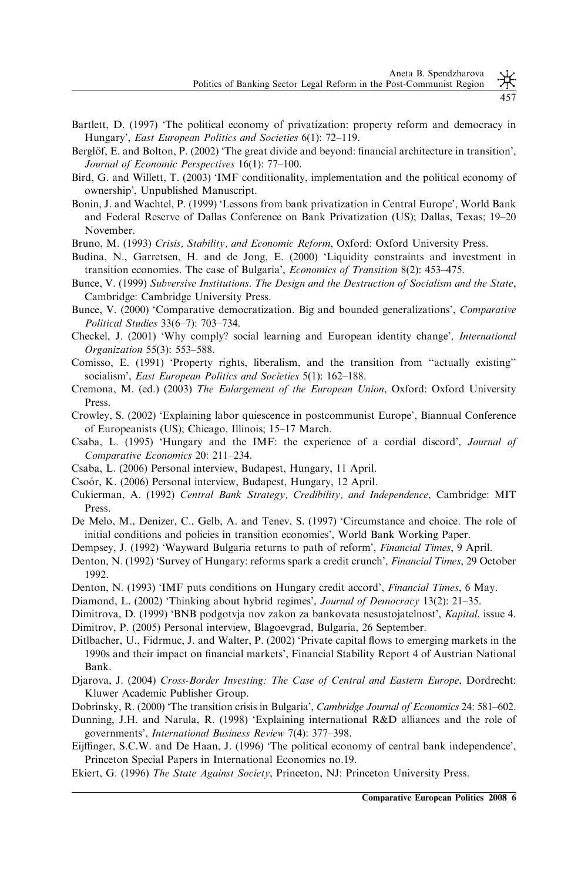- Bartlett, D. (1997) 'The political economy of privatization: property reform and democracy in Hungary', East European Politics and Societies 6(1): 72–119.
- Berglöf, E. and Bolton, P. (2002) 'The great divide and beyond: financial architecture in transition', Journal of Economic Perspectives 16(1): 77–100.
- Bird, G. and Willett, T. (2003) 'IMF conditionality, implementation and the political economy of ownership', Unpublished Manuscript.
- Bonin, J. and Wachtel, P. (1999) 'Lessons from bank privatization in Central Europe', World Bank and Federal Reserve of Dallas Conference on Bank Privatization (US); Dallas, Texas; 19–20 November.
- Bruno, M. (1993) Crisis, Stability, and Economic Reform, Oxford: Oxford University Press.
- Budina, N., Garretsen, H. and de Jong, E. (2000) 'Liquidity constraints and investment in transition economies. The case of Bulgaria', Economics of Transition 8(2): 453–475.
- Bunce, V. (1999) Subversive Institutions. The Design and the Destruction of Socialism and the State, Cambridge: Cambridge University Press.
- Bunce, V. (2000) 'Comparative democratization. Big and bounded generalizations', Comparative Political Studies 33(6–7): 703–734.
- Checkel, J. (2001) 'Why comply? social learning and European identity change', International Organization 55(3): 553–588.
- Comisso, E. (1991) 'Property rights, liberalism, and the transition from ''actually existing'' socialism', East European Politics and Societies 5(1): 162-188.
- Cremona, M. (ed.) (2003) The Enlargement of the European Union, Oxford: Oxford University Press.
- Crowley, S. (2002) 'Explaining labor quiescence in postcommunist Europe', Biannual Conference of Europeanists (US); Chicago, Illinois; 15–17 March.
- Csaba, L. (1995) 'Hungary and the IMF: the experience of a cordial discord', Journal of Comparative Economics 20: 211–234.
- Csaba, L. (2006) Personal interview, Budapest, Hungary, 11 April.
- Csoo´r, K. (2006) Personal interview, Budapest, Hungary, 12 April.
- Cukierman, A. (1992) Central Bank Strategy, Credibility, and Independence, Cambridge: MIT Press.
- De Melo, M., Denizer, C., Gelb, A. and Tenev, S. (1997) 'Circumstance and choice. The role of initial conditions and policies in transition economies', World Bank Working Paper.
- Dempsey, J. (1992) 'Wayward Bulgaria returns to path of reform', Financial Times, 9 April.
- Denton, N. (1992) 'Survey of Hungary: reforms spark a credit crunch', *Financial Times*, 29 October 1992.
- Denton, N. (1993) 'IMF puts conditions on Hungary credit accord', Financial Times, 6 May.
- Diamond, L. (2002) 'Thinking about hybrid regimes', Journal of Democracy 13(2): 21–35.
- Dimitrova, D. (1999) 'BNB podgotvja nov zakon za bankovata nesustojatelnost', Kapital, issue 4.
- Dimitrov, P. (2005) Personal interview, Blagoevgrad, Bulgaria, 26 September.
- Ditlbacher, U., Fidrmuc, J. and Walter, P. (2002) 'Private capital flows to emerging markets in the 1990s and their impact on financial markets', Financial Stability Report 4 of Austrian National Bank.
- Djarova, J. (2004) Cross-Border Investing: The Case of Central and Eastern Europe, Dordrecht: Kluwer Academic Publisher Group.
- Dobrinsky, R. (2000) 'The transition crisis in Bulgaria', Cambridge Journal of Economics 24: 581–602.
- Dunning, J.H. and Narula, R. (1998) 'Explaining international R&D alliances and the role of governments', International Business Review 7(4): 377–398.
- Eijffinger, S.C.W. and De Haan, J. (1996) 'The political economy of central bank independence', Princeton Special Papers in International Economics no.19.
- Ekiert, G. (1996) The State Against Society, Princeton, NJ: Princeton University Press.

457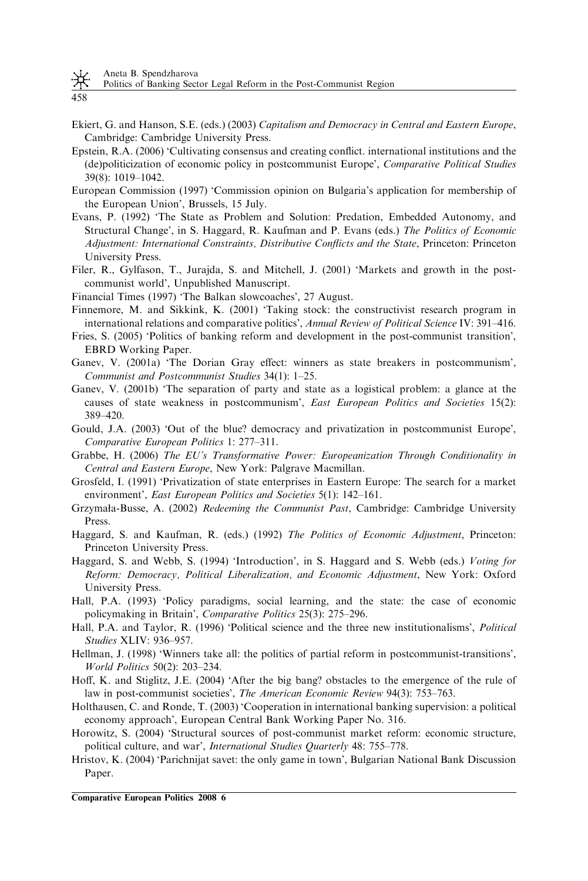Politics of Banking Sector Legal Reform in the Post-Communist Region

458

- Ekiert, G. and Hanson, S.E. (eds.) (2003) Capitalism and Democracy in Central and Eastern Europe, Cambridge: Cambridge University Press.
- Epstein, R.A. (2006) 'Cultivating consensus and creating conflict. international institutions and the (de)politicization of economic policy in postcommunist Europe', Comparative Political Studies 39(8): 1019–1042.
- European Commission (1997) 'Commission opinion on Bulgaria's application for membership of the European Union', Brussels, 15 July.
- Evans, P. (1992) 'The State as Problem and Solution: Predation, Embedded Autonomy, and Structural Change', in S. Haggard, R. Kaufman and P. Evans (eds.) The Politics of Economic Adjustment: International Constraints, Distributive Conflicts and the State, Princeton: Princeton University Press.
- Filer, R., Gylfason, T., Jurajda, S. and Mitchell, J. (2001) 'Markets and growth in the postcommunist world', Unpublished Manuscript.
- Financial Times (1997) 'The Balkan slowcoaches', 27 August.
- Finnemore, M. and Sikkink, K. (2001) 'Taking stock: the constructivist research program in international relations and comparative politics', Annual Review of Political Science IV: 391–416.
- Fries, S. (2005) 'Politics of banking reform and development in the post-communist transition', EBRD Working Paper.
- Ganev, V. (2001a) 'The Dorian Gray effect: winners as state breakers in postcommunism', Communist and Postcommunist Studies 34(1): 1–25.
- Ganev, V. (2001b) 'The separation of party and state as a logistical problem: a glance at the causes of state weakness in postcommunism', East European Politics and Societies 15(2): 389–420.
- Gould, J.A. (2003) 'Out of the blue? democracy and privatization in postcommunist Europe', Comparative European Politics 1: 277–311.
- Grabbe, H. (2006) The EU's Transformative Power: Europeanization Through Conditionality in Central and Eastern Europe, New York: Palgrave Macmillan.
- Grosfeld, I. (1991) 'Privatization of state enterprises in Eastern Europe: The search for a market environment', *East European Politics and Societies* 5(1): 142–161.
- Grzymała-Busse, A. (2002) Redeeming the Communist Past, Cambridge: Cambridge University Press.
- Haggard, S. and Kaufman, R. (eds.) (1992) The Politics of Economic Adjustment, Princeton: Princeton University Press.
- Haggard, S. and Webb, S. (1994) 'Introduction', in S. Haggard and S. Webb (eds.) Voting for Reform: Democracy, Political Liberalization, and Economic Adjustment, New York: Oxford University Press.
- Hall, P.A. (1993) 'Policy paradigms, social learning, and the state: the case of economic policymaking in Britain', Comparative Politics 25(3): 275–296.
- Hall, P.A. and Taylor, R. (1996) 'Political science and the three new institutionalisms', Political Studies XLIV: 936–957.
- Hellman, J. (1998) 'Winners take all: the politics of partial reform in postcommunist-transitions', World Politics 50(2): 203–234.
- Hoff, K. and Stiglitz, J.E. (2004) 'After the big bang? obstacles to the emergence of the rule of law in post-communist societies', The American Economic Review 94(3): 753-763.
- Holthausen, C. and Ronde, T. (2003) 'Cooperation in international banking supervision: a political economy approach', European Central Bank Working Paper No. 316.
- Horowitz, S. (2004) 'Structural sources of post-communist market reform: economic structure, political culture, and war', International Studies Quarterly 48: 755–778.
- Hristov, K. (2004) 'Parichnijat savet: the only game in town', Bulgarian National Bank Discussion Paper.

Comparative European Politics 2008 6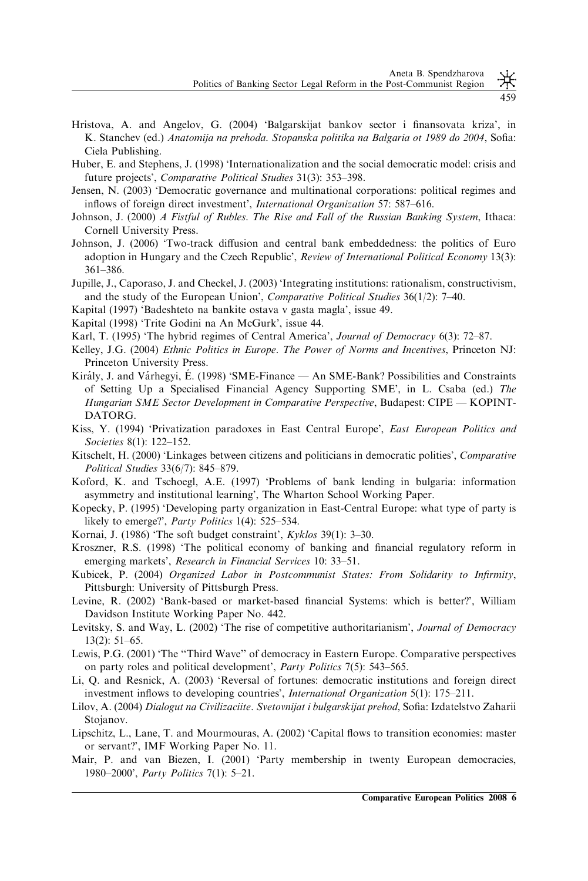459

- Hristova, A. and Angelov, G. (2004) 'Balgarskijat bankov sector i finansovata kriza', in K. Stanchev (ed.) Anatomija na prehoda. Stopanska politika na Balgaria ot 1989 do 2004, Sofia: Ciela Publishing.
- Huber, E. and Stephens, J. (1998) 'Internationalization and the social democratic model: crisis and future projects', Comparative Political Studies 31(3): 353–398.
- Jensen, N. (2003) 'Democratic governance and multinational corporations: political regimes and inflows of foreign direct investment', International Organization 57: 587–616.
- Johnson, J. (2000) A Fistful of Rubles. The Rise and Fall of the Russian Banking System, Ithaca: Cornell University Press.
- Johnson, J. (2006) 'Two-track diffusion and central bank embeddedness: the politics of Euro adoption in Hungary and the Czech Republic', Review of International Political Economy 13(3): 361–386.
- Jupille, J., Caporaso, J. and Checkel, J. (2003) 'Integrating institutions: rationalism, constructivism, and the study of the European Union', *Comparative Political Studies*  $36(1/2)$ : 7–40.
- Kapital (1997) 'Badeshteto na bankite ostava v gasta magla', issue 49.
- Kapital (1998) 'Trite Godini na An McGurk', issue 44.
- Karl, T. (1995) 'The hybrid regimes of Central America', *Journal of Democracy* 6(3): 72–87.
- Kelley, J.G. (2004) Ethnic Politics in Europe. The Power of Norms and Incentives, Princeton NJ: Princeton University Press.
- Király, J. and Várhegyi, É. (1998) 'SME-Finance An SME-Bank? Possibilities and Constraints of Setting Up a Specialised Financial Agency Supporting SME', in L. Csaba (ed.) The Hungarian SME Sector Development in Comparative Perspective, Budapest: CIPE — KOPINT-DATORG.
- Kiss, Y. (1994) 'Privatization paradoxes in East Central Europe', East European Politics and Societies 8(1): 122–152.
- Kitschelt, H. (2000) 'Linkages between citizens and politicians in democratic polities', Comparative Political Studies 33(6/7): 845–879.
- Koford, K. and Tschoegl, A.E. (1997) 'Problems of bank lending in bulgaria: information asymmetry and institutional learning', The Wharton School Working Paper.
- Kopecky, P. (1995) 'Developing party organization in East-Central Europe: what type of party is likely to emerge?', Party Politics 1(4): 525–534.
- Kornai, J. (1986) 'The soft budget constraint', Kyklos 39(1): 3–30.
- Kroszner, R.S. (1998) 'The political economy of banking and financial regulatory reform in emerging markets', Research in Financial Services 10: 33-51.
- Kubicek, P. (2004) Organized Labor in Postcommunist States: From Solidarity to Infirmity, Pittsburgh: University of Pittsburgh Press.
- Levine, R. (2002) 'Bank-based or market-based financial Systems: which is better?', William Davidson Institute Working Paper No. 442.
- Levitsky, S. and Way, L. (2002) 'The rise of competitive authoritarianism', Journal of Democracy 13(2): 51–65.
- Lewis, P.G. (2001) 'The ''Third Wave'' of democracy in Eastern Europe. Comparative perspectives on party roles and political development', Party Politics 7(5): 543–565.
- Li, Q. and Resnick, A. (2003) 'Reversal of fortunes: democratic institutions and foreign direct investment inflows to developing countries', International Organization 5(1): 175–211.
- Lilov, A. (2004) Dialogut na Civilizaciite. Svetovnijat i bulgarskijat prehod, Sofia: Izdatelstvo Zaharii Stojanov.
- Lipschitz, L., Lane, T. and Mourmouras, A. (2002) 'Capital flows to transition economies: master or servant?', IMF Working Paper No. 11.
- Mair, P. and van Biezen, I. (2001) 'Party membership in twenty European democracies, 1980–2000', Party Politics 7(1): 5–21.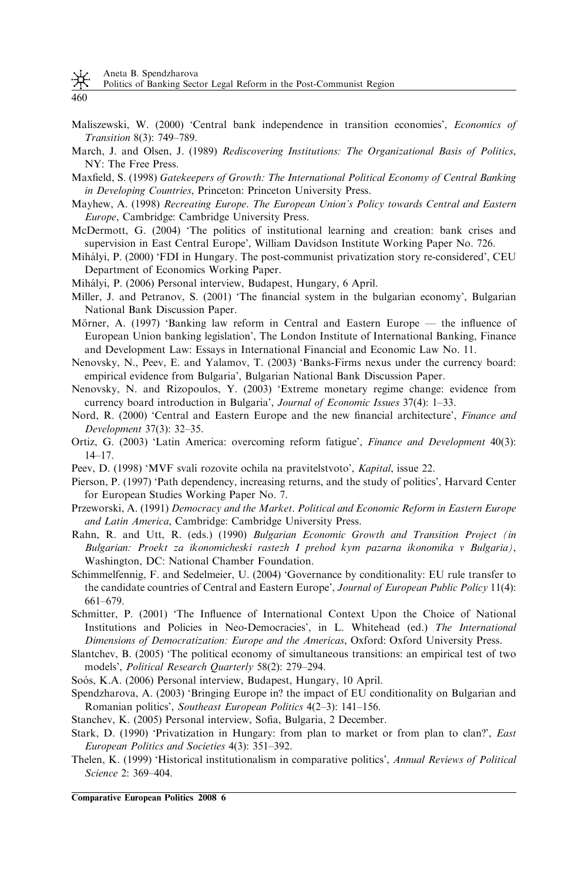Aneta B. Spendzharova

Politics of Banking Sector Legal Reform in the Post-Communist Region

- 460
- Maliszewski, W. (2000) 'Central bank independence in transition economies', Economics of Transition 8(3): 749–789.
- March, J. and Olsen, J. (1989) Rediscovering Institutions: The Organizational Basis of Politics, NY: The Free Press.
- Maxfield, S. (1998) Gatekeepers of Growth: The International Political Economy of Central Banking in Developing Countries, Princeton: Princeton University Press.
- Mayhew, A. (1998) Recreating Europe. The European Union's Policy towards Central and Eastern Europe, Cambridge: Cambridge University Press.
- McDermott, G. (2004) 'The politics of institutional learning and creation: bank crises and supervision in East Central Europe', William Davidson Institute Working Paper No. 726.
- Mihályi, P. (2000) 'FDI in Hungary. The post-communist privatization story re-considered', CEU Department of Economics Working Paper.
- Mihályi, P. (2006) Personal interview, Budapest, Hungary, 6 April.
- Miller, J. and Petranov, S. (2001) 'The financial system in the bulgarian economy', Bulgarian National Bank Discussion Paper.
- Mörner, A. (1997) 'Banking law reform in Central and Eastern Europe the influence of European Union banking legislation', The London Institute of International Banking, Finance and Development Law: Essays in International Financial and Economic Law No. 11.
- Nenovsky, N., Peev, E. and Yalamov, T. (2003) 'Banks-Firms nexus under the currency board: empirical evidence from Bulgaria', Bulgarian National Bank Discussion Paper.
- Nenovsky, N. and Rizopoulos, Y. (2003) 'Extreme monetary regime change: evidence from currency board introduction in Bulgaria', Journal of Economic Issues 37(4): 1-33.
- Nord, R. (2000) 'Central and Eastern Europe and the new financial architecture', Finance and Development 37(3): 32–35.
- Ortiz, G. (2003) 'Latin America: overcoming reform fatigue', Finance and Development 40(3): 14–17.
- Peev, D. (1998) 'MVF svali rozovite ochila na pravitelstvoto', Kapital, issue 22.
- Pierson, P. (1997) 'Path dependency, increasing returns, and the study of politics', Harvard Center for European Studies Working Paper No. 7.
- Przeworski, A. (1991) Democracy and the Market. Political and Economic Reform in Eastern Europe and Latin America, Cambridge: Cambridge University Press.
- Rahn, R. and Utt, R. (eds.) (1990) Bulgarian Economic Growth and Transition Project (in Bulgarian: Proekt za ikonomicheski rastezh I prehod kym pazarna ikonomika v Bulgaria), Washington, DC: National Chamber Foundation.
- Schimmelfennig, F. and Sedelmeier, U. (2004) 'Governance by conditionality: EU rule transfer to the candidate countries of Central and Eastern Europe', Journal of European Public Policy 11(4): 661–679.
- Schmitter, P. (2001) 'The Influence of International Context Upon the Choice of National Institutions and Policies in Neo-Democracies', in L. Whitehead (ed.) The International Dimensions of Democratization: Europe and the Americas, Oxford: Oxford University Press.
- Slantchev, B. (2005) 'The political economy of simultaneous transitions: an empirical test of two models', Political Research Quarterly 58(2): 279–294.
- Soós, K.A. (2006) Personal interview, Budapest, Hungary, 10 April.
- Spendzharova, A. (2003) 'Bringing Europe in? the impact of EU conditionality on Bulgarian and Romanian politics', Southeast European Politics 4(2–3): 141–156.
- Stanchev, K. (2005) Personal interview, Sofia, Bulgaria, 2 December.
- Stark, D. (1990) 'Privatization in Hungary: from plan to market or from plan to clan?', East European Politics and Societies 4(3): 351–392.
- Thelen, K. (1999) 'Historical institutionalism in comparative politics', Annual Reviews of Political Science 2: 369–404.

Comparative European Politics 2008 6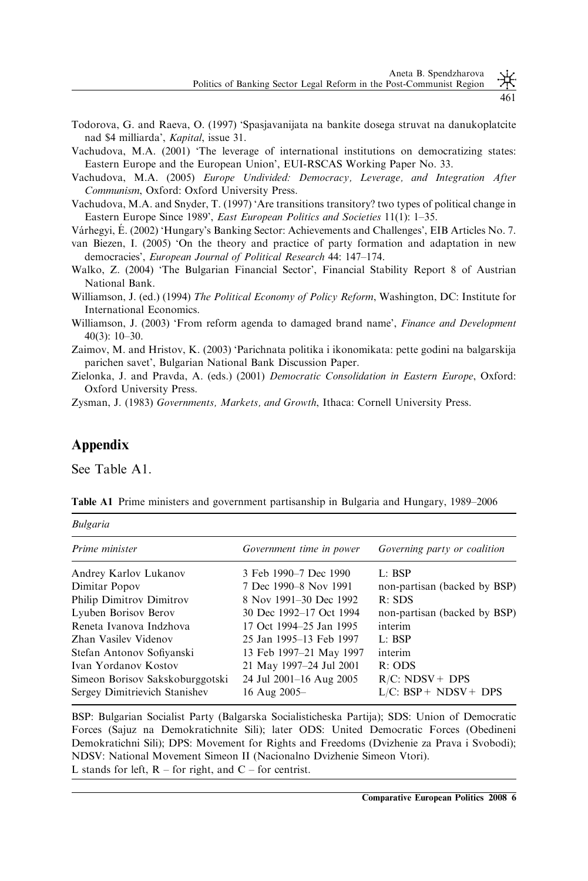461

- Todorova, G. and Raeva, O. (1997) 'Spasjavanijata na bankite dosega struvat na danukoplatcite nad \$4 milliarda', Kapital, issue 31.
- Vachudova, M.A. (2001) 'The leverage of international institutions on democratizing states: Eastern Europe and the European Union', EUI-RSCAS Working Paper No. 33.
- Vachudova, M.A. (2005) Europe Undivided: Democracy, Leverage, and Integration After Communism, Oxford: Oxford University Press.
- Vachudova, M.A. and Snyder, T. (1997) 'Are transitions transitory? two types of political change in Eastern Europe Since 1989', East European Politics and Societies 11(1): 1–35.
- Várhegyi, É. (2002) 'Hungary's Banking Sector: Achievements and Challenges', EIB Articles No. 7.
- van Biezen, I. (2005) 'On the theory and practice of party formation and adaptation in new democracies', European Journal of Political Research 44: 147–174.
- Walko, Z. (2004) 'The Bulgarian Financial Sector', Financial Stability Report 8 of Austrian National Bank.
- Williamson, J. (ed.) (1994) The Political Economy of Policy Reform, Washington, DC: Institute for International Economics.

Williamson, J. (2003) 'From reform agenda to damaged brand name', Finance and Development 40(3): 10–30.

- Zaimov, M. and Hristov, K. (2003) 'Parichnata politika i ikonomikata: pette godini na balgarskija parichen savet', Bulgarian National Bank Discussion Paper.
- Zielonka, J. and Pravda, A. (eds.) (2001) Democratic Consolidation in Eastern Europe, Oxford: Oxford University Press.

Zysman, J. (1983) Governments, Markets, and Growth, Ithaca: Cornell University Press.

### Appendix

Bulgaria

See Table A1.

| Prime minister                  | Government time in power | Governing party or coalition |  |
|---------------------------------|--------------------------|------------------------------|--|
| Andrey Karlov Lukanov           | 3 Feb 1990–7 Dec 1990    | $L:$ BSP                     |  |
| Dimitar Popov                   | 7 Dec 1990-8 Nov 1991    | non-partisan (backed by BSP) |  |
| Philip Dimitrov Dimitrov        | 8 Nov 1991–30 Dec 1992   | R: SDS                       |  |
| Lyuben Borisov Berov            | 30 Dec 1992–17 Oct 1994  | non-partisan (backed by BSP) |  |
| Reneta Ivanova Indzhova         | 17 Oct 1994–25 Jan 1995  | interim                      |  |
| Zhan Vasilev Videnov            | 25 Jan 1995–13 Feb 1997  | $L:$ BSP                     |  |
| Stefan Antonov Sofiyanski       | 13 Feb 1997-21 May 1997  | interim                      |  |
| Ivan Yordanov Kostov            | 21 May 1997-24 Jul 2001  | $R:$ ODS                     |  |
| Simeon Borisov Sakskoburggotski | 24 Jul 2001–16 Aug 2005  | $R/C$ : NDSV + DPS           |  |
| Sergey Dimitrievich Stanishev   | 16 Aug 2005-             | $L/C$ : BSP+ NDSV+ DPS       |  |
|                                 |                          |                              |  |

Table A1 Prime ministers and government partisanship in Bulgaria and Hungary, 1989–2006

BSP: Bulgarian Socialist Party (Balgarska Socialisticheska Partija); SDS: Union of Democratic Forces (Sajuz na Demokratichnite Sili); later ODS: United Democratic Forces (Obedineni Demokratichni Sili); DPS: Movement for Rights and Freedoms (Dvizhenie za Prava i Svobodi); NDSV: National Movement Simeon II (Nacionalno Dvizhenie Simeon Vtori). L stands for left,  $R$  – for right, and  $C$  – for centrist.